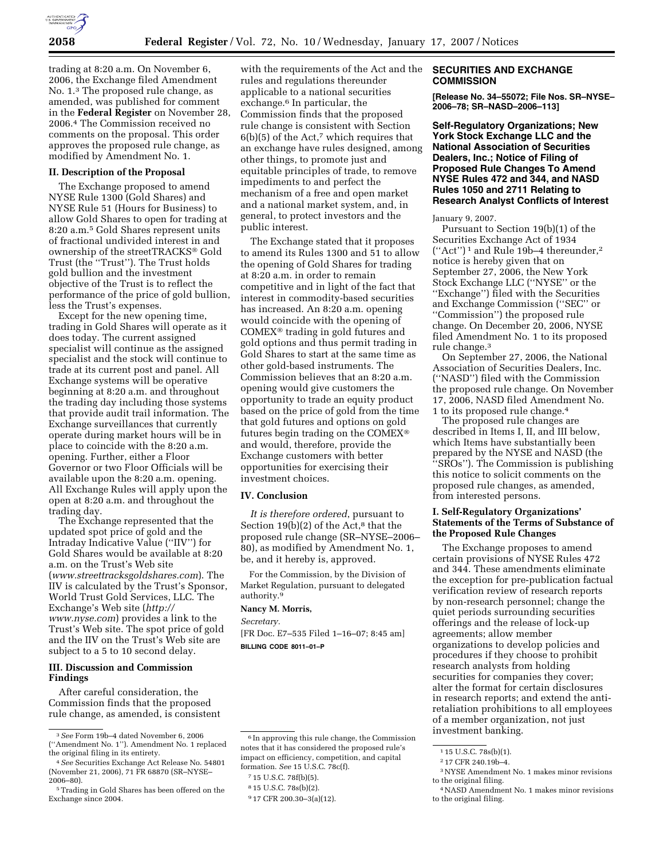

trading at 8:20 a.m. On November 6, 2006, the Exchange filed Amendment No. 1.3 The proposed rule change, as amended, was published for comment in the **Federal Register** on November 28, 2006.4 The Commission received no comments on the proposal. This order approves the proposed rule change, as modified by Amendment No. 1.

# **II. Description of the Proposal**

The Exchange proposed to amend NYSE Rule 1300 (Gold Shares) and NYSE Rule 51 (Hours for Business) to allow Gold Shares to open for trading at 8:20 a.m.5 Gold Shares represent units of fractional undivided interest in and ownership of the streetTRACKS® Gold Trust (the ''Trust''). The Trust holds gold bullion and the investment objective of the Trust is to reflect the performance of the price of gold bullion, less the Trust's expenses.

Except for the new opening time, trading in Gold Shares will operate as it does today. The current assigned specialist will continue as the assigned specialist and the stock will continue to trade at its current post and panel. All Exchange systems will be operative beginning at 8:20 a.m. and throughout the trading day including those systems that provide audit trail information. The Exchange surveillances that currently operate during market hours will be in place to coincide with the 8:20 a.m. opening. Further, either a Floor Governor or two Floor Officials will be available upon the 8:20 a.m. opening. All Exchange Rules will apply upon the open at 8:20 a.m. and throughout the trading day.

The Exchange represented that the updated spot price of gold and the Intraday Indicative Value (''IIV'') for Gold Shares would be available at 8:20 a.m. on the Trust's Web site (*www.streettracksgoldshares.com*). The IIV is calculated by the Trust's Sponsor, World Trust Gold Services, LLC. The Exchange's Web site (*http:// www.nyse.com*) provides a link to the Trust's Web site. The spot price of gold and the IIV on the Trust's Web site are subject to a 5 to 10 second delay.

# **III. Discussion and Commission Findings**

After careful consideration, the Commission finds that the proposed rule change, as amended, is consistent

with the requirements of the Act and the rules and regulations thereunder applicable to a national securities exchange.<sup>6</sup> In particular, the Commission finds that the proposed rule change is consistent with Section  $6(b)(5)$  of the Act,<sup>7</sup> which requires that an exchange have rules designed, among other things, to promote just and equitable principles of trade, to remove impediments to and perfect the mechanism of a free and open market and a national market system, and, in general, to protect investors and the public interest.

The Exchange stated that it proposes to amend its Rules 1300 and 51 to allow the opening of Gold Shares for trading at 8:20 a.m. in order to remain competitive and in light of the fact that interest in commodity-based securities has increased. An 8:20 a.m. opening would coincide with the opening of  $COMEX^{\otimes}$  trading in gold futures and gold options and thus permit trading in Gold Shares to start at the same time as other gold-based instruments. The Commission believes that an 8:20 a.m. opening would give customers the opportunity to trade an equity product based on the price of gold from the time that gold futures and options on gold futures begin trading on the COMEX and would, therefore, provide the Exchange customers with better opportunities for exercising their investment choices.

### **IV. Conclusion**

*It is therefore ordered*, pursuant to Section  $19(b)(2)$  of the Act,<sup>8</sup> that the proposed rule change (SR–NYSE–2006– 80), as modified by Amendment No. 1, be, and it hereby is, approved.

For the Commission, by the Division of Market Regulation, pursuant to delegated authority.9

#### **Nancy M. Morris,**

*Secretary.* 

[FR Doc. E7–535 Filed 1–16–07; 8:45 am] **BILLING CODE 8011–01–P** 

### **SECURITIES AND EXCHANGE COMMISSION**

**[Release No. 34–55072; File Nos. SR–NYSE– 2006–78; SR–NASD–2006–113]** 

**Self-Regulatory Organizations; New York Stock Exchange LLC and the National Association of Securities Dealers, Inc.; Notice of Filing of Proposed Rule Changes To Amend NYSE Rules 472 and 344, and NASD Rules 1050 and 2711 Relating to Research Analyst Conflicts of Interest** 

January 9, 2007.

Pursuant to Section 19(b)(1) of the Securities Exchange Act of 1934 (''Act'') 1 and Rule 19b–4 thereunder,2 notice is hereby given that on September 27, 2006, the New York Stock Exchange LLC (''NYSE'' or the ''Exchange'') filed with the Securities and Exchange Commission (''SEC'' or ''Commission'') the proposed rule change. On December 20, 2006, NYSE filed Amendment No. 1 to its proposed rule change.3

On September 27, 2006, the National Association of Securities Dealers, Inc. (''NASD'') filed with the Commission the proposed rule change. On November 17, 2006, NASD filed Amendment No. 1 to its proposed rule change.4

The proposed rule changes are described in Items I, II, and III below, which Items have substantially been prepared by the NYSE and NASD (the ''SROs''). The Commission is publishing this notice to solicit comments on the proposed rule changes, as amended, from interested persons.

# **I. Self-Regulatory Organizations' Statements of the Terms of Substance of the Proposed Rule Changes**

The Exchange proposes to amend certain provisions of NYSE Rules 472 and 344. These amendments eliminate the exception for pre-publication factual verification review of research reports by non-research personnel; change the quiet periods surrounding securities offerings and the release of lock-up agreements; allow member organizations to develop policies and procedures if they choose to prohibit research analysts from holding securities for companies they cover; alter the format for certain disclosures in research reports; and extend the antiretaliation prohibitions to all employees of a member organization, not just investment banking.

<sup>3</sup>*See* Form 19b–4 dated November 6, 2006 (''Amendment No. 1''). Amendment No. 1 replaced the original filing in its entirety.

<sup>4</sup>*See* Securities Exchange Act Release No. 54801 (November 21, 2006), 71 FR 68870 (SR–NYSE– 2006–80).

<sup>5</sup>Trading in Gold Shares has been offered on the Exchange since 2004.

<sup>6</sup> In approving this rule change, the Commission notes that it has considered the proposed rule's impact on efficiency, competition, and capital formation. *See* 15 U.S.C. 78c(f).

<sup>7</sup> 15 U.S.C. 78f(b)(5).

<sup>8</sup> 15 U.S.C. 78s(b)(2).

<sup>9</sup> 17 CFR 200.30–3(a)(12).

<sup>1</sup> 15 U.S.C. 78s(b)(1).

<sup>2</sup> 17 CFR 240.19b–4.

<sup>3</sup>NYSE Amendment No. 1 makes minor revisions to the original filing.

<sup>4</sup>NASD Amendment No. 1 makes minor revisions to the original filing.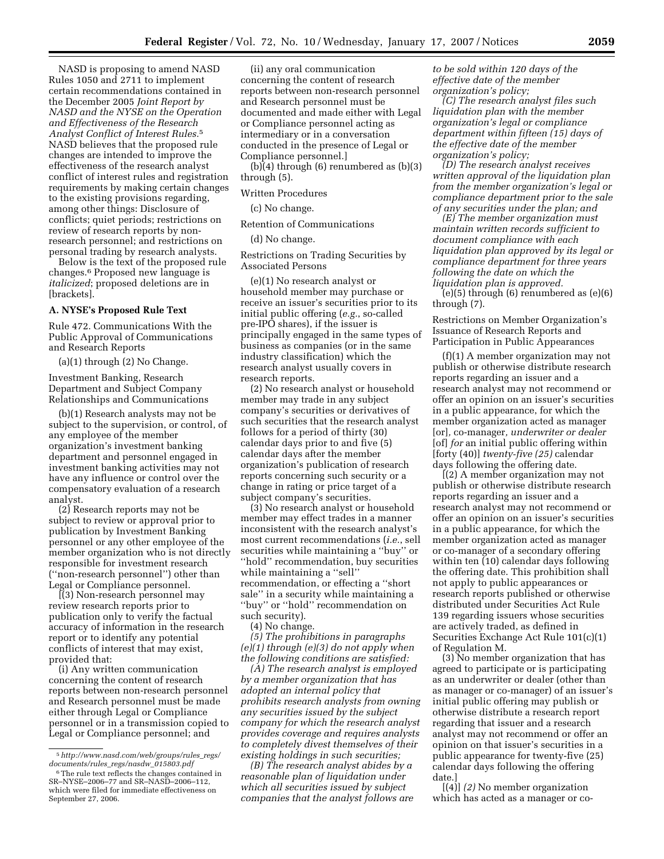NASD is proposing to amend NASD Rules 1050 and 2711 to implement certain recommendations contained in the December 2005 *Joint Report by NASD and the NYSE on the Operation and Effectiveness of the Research Analyst Conflict of Interest Rules.*5 NASD believes that the proposed rule changes are intended to improve the effectiveness of the research analyst conflict of interest rules and registration requirements by making certain changes to the existing provisions regarding, among other things: Disclosure of conflicts; quiet periods; restrictions on review of research reports by nonresearch personnel; and restrictions on personal trading by research analysts.

Below is the text of the proposed rule changes.6 Proposed new language is *italicized*; proposed deletions are in [brackets].

## **A. NYSE's Proposed Rule Text**

Rule 472. Communications With the Public Approval of Communications and Research Reports

(a)(1) through (2) No Change.

Investment Banking, Research Department and Subject Company Relationships and Communications

(b)(1) Research analysts may not be subject to the supervision, or control, of any employee of the member organization's investment banking department and personnel engaged in investment banking activities may not have any influence or control over the compensatory evaluation of a research analyst.

(2) Research reports may not be subject to review or approval prior to publication by Investment Banking personnel or any other employee of the member organization who is not directly responsible for investment research (''non-research personnel'') other than Legal or Compliance personnel.

[(3) Non-research personnel may review research reports prior to publication only to verify the factual accuracy of information in the research report or to identify any potential conflicts of interest that may exist, provided that:

(i) Any written communication concerning the content of research reports between non-research personnel and Research personnel must be made either through Legal or Compliance personnel or in a transmission copied to Legal or Compliance personnel; and

(ii) any oral communication concerning the content of research reports between non-research personnel and Research personnel must be documented and made either with Legal or Compliance personnel acting as intermediary or in a conversation conducted in the presence of Legal or Compliance personnel.]

(b)(4) through (6) renumbered as (b)(3) through (5).

Written Procedures

(c) No change.

#### Retention of Communications

(d) No change.

Restrictions on Trading Securities by Associated Persons

(e)(1) No research analyst or household member may purchase or receive an issuer's securities prior to its initial public offering (*e.g.*, so-called pre-IPO shares), if the issuer is principally engaged in the same types of business as companies (or in the same industry classification) which the research analyst usually covers in research reports.

(2) No research analyst or household member may trade in any subject company's securities or derivatives of such securities that the research analyst follows for a period of thirty (30) calendar days prior to and five (5) calendar days after the member organization's publication of research reports concerning such security or a change in rating or price target of a subject company's securities.

(3) No research analyst or household member may effect trades in a manner inconsistent with the research analyst's most current recommendations (*i.e.*, sell securities while maintaining a ''buy'' or ''hold'' recommendation, buy securities while maintaining a "sell" recommendation, or effecting a ''short sale'' in a security while maintaining a ''buy'' or ''hold'' recommendation on such security).

(4) No change.

*(5) The prohibitions in paragraphs (e)(1) through (e)(3) do not apply when the following conditions are satisfied:* 

*(A) The research analyst is employed by a member organization that has adopted an internal policy that prohibits research analysts from owning any securities issued by the subject company for which the research analyst provides coverage and requires analysts to completely divest themselves of their existing holdings in such securities;* 

*(B) The research analyst abides by a reasonable plan of liquidation under which all securities issued by subject companies that the analyst follows are*  *to be sold within 120 days of the effective date of the member organization's policy;* 

*(C) The research analyst files such liquidation plan with the member organization's legal or compliance department within fifteen (15) days of the effective date of the member organization's policy;* 

*(D) The research analyst receives written approval of the liquidation plan from the member organization's legal or compliance department prior to the sale of any securities under the plan; and* 

*(E) The member organization must maintain written records sufficient to document compliance with each liquidation plan approved by its legal or compliance department for three years following the date on which the liquidation plan is approved.* 

(e)(5) through (6) renumbered as (e)(6) through (7).

Restrictions on Member Organization's Issuance of Research Reports and Participation in Public Appearances

(f)(1) A member organization may not publish or otherwise distribute research reports regarding an issuer and a research analyst may not recommend or offer an opinion on an issuer's securities in a public appearance, for which the member organization acted as manager [or]*,* co-manager*, underwriter or dealer*  [of] *for* an initial public offering within [forty (40)] *twenty-five (25)* calendar days following the offering date.

[(2) A member organization may not publish or otherwise distribute research reports regarding an issuer and a research analyst may not recommend or offer an opinion on an issuer's securities in a public appearance, for which the member organization acted as manager or co-manager of a secondary offering within ten (10) calendar days following the offering date. This prohibition shall not apply to public appearances or research reports published or otherwise distributed under Securities Act Rule 139 regarding issuers whose securities are actively traded, as defined in Securities Exchange Act Rule 101(c)(1) of Regulation M.

(3) No member organization that has agreed to participate or is participating as an underwriter or dealer (other than as manager or co-manager) of an issuer's initial public offering may publish or otherwise distribute a research report regarding that issuer and a research analyst may not recommend or offer an opinion on that issuer's securities in a public appearance for twenty-five (25) calendar days following the offering date.]

[(4)] *(2)* No member organization which has acted as a manager or co-

<sup>5</sup>*http://www.nasd.com/web/groups/rules*\_*regs/ documents/rules*\_*regs/nasdw*\_*015803.pdf* 

<sup>&</sup>lt;sup>6</sup>The rule text reflects the changes contained in SR–NYSE–2006–77 and SR–NASD–2006–112, which were filed for immediate effectiveness on September 27, 2006.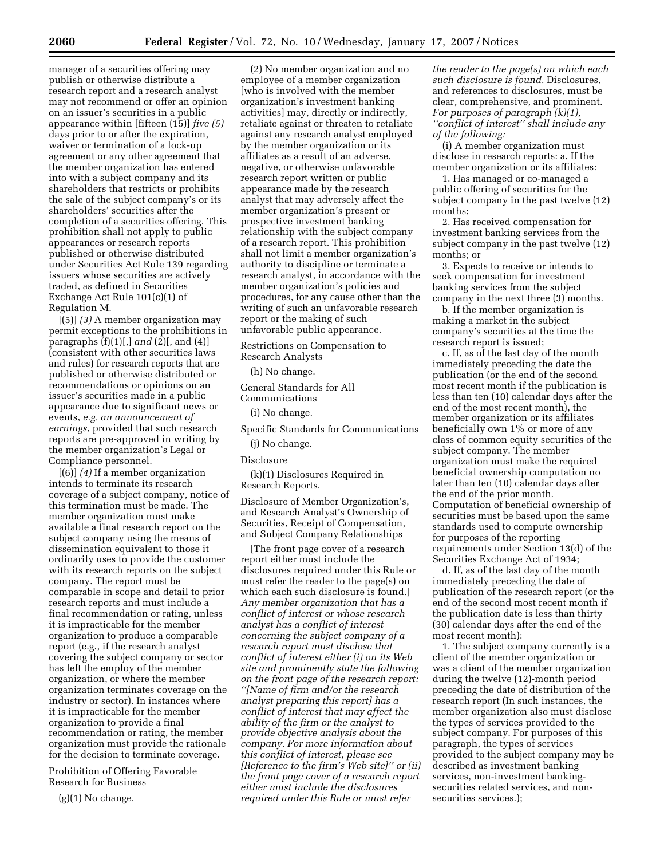manager of a securities offering may publish or otherwise distribute a research report and a research analyst may not recommend or offer an opinion on an issuer's securities in a public appearance within [fifteen (15)] *five (5)*  days prior to or after the expiration, waiver or termination of a lock-up agreement or any other agreement that the member organization has entered into with a subject company and its shareholders that restricts or prohibits the sale of the subject company's or its shareholders' securities after the completion of a securities offering. This prohibition shall not apply to public appearances or research reports published or otherwise distributed under Securities Act Rule 139 regarding issuers whose securities are actively traded, as defined in Securities Exchange Act Rule 101(c)(1) of Regulation M.

[(5)] *(3)* A member organization may permit exceptions to the prohibitions in paragraphs (f)(1)[,] *and* (2)[, and (4)] (consistent with other securities laws and rules) for research reports that are published or otherwise distributed or recommendations or opinions on an issuer's securities made in a public appearance due to significant news or events, *e.g. an announcement of earnings*, provided that such research reports are pre-approved in writing by the member organization's Legal or Compliance personnel.

[(6)] *(4)* If a member organization intends to terminate its research coverage of a subject company, notice of this termination must be made. The member organization must make available a final research report on the subject company using the means of dissemination equivalent to those it ordinarily uses to provide the customer with its research reports on the subject company. The report must be comparable in scope and detail to prior research reports and must include a final recommendation or rating, unless it is impracticable for the member organization to produce a comparable report (e.g., if the research analyst covering the subject company or sector has left the employ of the member organization, or where the member organization terminates coverage on the industry or sector). In instances where it is impracticable for the member organization to provide a final recommendation or rating, the member organization must provide the rationale for the decision to terminate coverage.

Prohibition of Offering Favorable Research for Business

 $(g)(1)$  No change.

(2) No member organization and no employee of a member organization [who is involved with the member organization's investment banking activities] may, directly or indirectly, retaliate against or threaten to retaliate against any research analyst employed by the member organization or its affiliates as a result of an adverse, negative, or otherwise unfavorable research report written or public appearance made by the research analyst that may adversely affect the member organization's present or prospective investment banking relationship with the subject company of a research report. This prohibition shall not limit a member organization's authority to discipline or terminate a research analyst, in accordance with the member organization's policies and procedures, for any cause other than the writing of such an unfavorable research report or the making of such unfavorable public appearance.

Restrictions on Compensation to

Research Analysts

(h) No change.

General Standards for All Communications

(i) No change.

Specific Standards for Communications

# (j) No change.

Disclosure

(k)(1) Disclosures Required in Research Reports.

Disclosure of Member Organization's, and Research Analyst's Ownership of Securities, Receipt of Compensation, and Subject Company Relationships

[The front page cover of a research report either must include the disclosures required under this Rule or must refer the reader to the page(s) on which each such disclosure is found.] *Any member organization that has a conflict of interest or whose research analyst has a conflict of interest concerning the subject company of a research report must disclose that conflict of interest either (i) on its Web site and prominently state the following on the front page of the research report: ''[Name of firm and/or the research analyst preparing this report] has a conflict of interest that may affect the ability of the firm or the analyst to provide objective analysis about the company. For more information about this conflict of interest, please see [Reference to the firm's Web site]'' or (ii) the front page cover of a research report either must include the disclosures required under this Rule or must refer* 

*the reader to the page(s) on which each such disclosure is found.* Disclosures, and references to disclosures, must be clear, comprehensive, and prominent. *For purposes of paragraph (k)(1), ''conflict of interest'' shall include any of the following:* 

(i) A member organization must disclose in research reports: a. If the member organization or its affiliates:

1. Has managed or co-managed a public offering of securities for the subject company in the past twelve (12) months;

2. Has received compensation for investment banking services from the subject company in the past twelve (12) months; or

3. Expects to receive or intends to seek compensation for investment banking services from the subject company in the next three (3) months.

b. If the member organization is making a market in the subject company's securities at the time the research report is issued;

c. If, as of the last day of the month immediately preceding the date the publication (or the end of the second most recent month if the publication is less than ten (10) calendar days after the end of the most recent month), the member organization or its affiliates beneficially own 1% or more of any class of common equity securities of the subject company. The member organization must make the required beneficial ownership computation no later than ten (10) calendar days after the end of the prior month. Computation of beneficial ownership of securities must be based upon the same standards used to compute ownership for purposes of the reporting requirements under Section 13(d) of the Securities Exchange Act of 1934;

d. If, as of the last day of the month immediately preceding the date of publication of the research report (or the end of the second most recent month if the publication date is less than thirty (30) calendar days after the end of the most recent month):

1. The subject company currently is a client of the member organization or was a client of the member organization during the twelve (12)-month period preceding the date of distribution of the research report (In such instances, the member organization also must disclose the types of services provided to the subject company. For purposes of this paragraph, the types of services provided to the subject company may be described as investment banking services, non-investment bankingsecurities related services, and nonsecurities services.);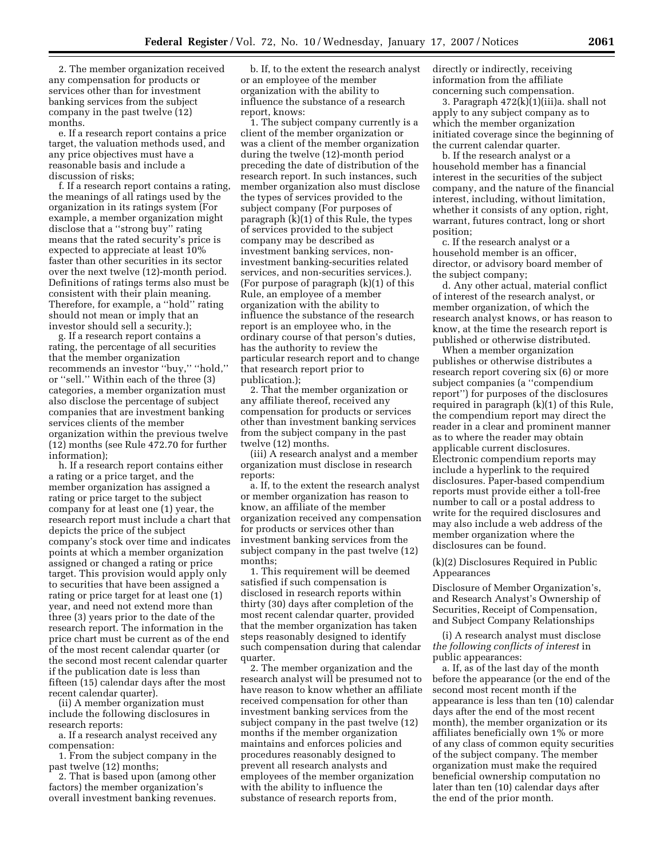2. The member organization received any compensation for products or services other than for investment banking services from the subject company in the past twelve (12) months.

e. If a research report contains a price target, the valuation methods used, and any price objectives must have a reasonable basis and include a discussion of risks;

f. If a research report contains a rating, the meanings of all ratings used by the organization in its ratings system (For example, a member organization might disclose that a ''strong buy'' rating means that the rated security's price is expected to appreciate at least 10% faster than other securities in its sector over the next twelve (12)-month period. Definitions of ratings terms also must be consistent with their plain meaning. Therefore, for example, a ''hold'' rating should not mean or imply that an investor should sell a security.);

g. If a research report contains a rating, the percentage of all securities that the member organization recommends an investor ''buy,'' ''hold,'' or ''sell.'' Within each of the three (3) categories, a member organization must also disclose the percentage of subject companies that are investment banking services clients of the member organization within the previous twelve (12) months (see Rule 472.70 for further information);

h. If a research report contains either a rating or a price target, and the member organization has assigned a rating or price target to the subject company for at least one (1) year, the research report must include a chart that depicts the price of the subject company's stock over time and indicates points at which a member organization assigned or changed a rating or price target. This provision would apply only to securities that have been assigned a rating or price target for at least one (1) year, and need not extend more than three (3) years prior to the date of the research report. The information in the price chart must be current as of the end of the most recent calendar quarter (or the second most recent calendar quarter if the publication date is less than fifteen (15) calendar days after the most recent calendar quarter).

(ii) A member organization must include the following disclosures in research reports:

a. If a research analyst received any compensation:

1. From the subject company in the past twelve (12) months;

2. That is based upon (among other factors) the member organization's overall investment banking revenues.

b. If, to the extent the research analyst or an employee of the member organization with the ability to influence the substance of a research report, knows:

1. The subject company currently is a client of the member organization or was a client of the member organization during the twelve (12)-month period preceding the date of distribution of the research report. In such instances, such member organization also must disclose the types of services provided to the subject company (For purposes of paragraph (k)(1) of this Rule, the types of services provided to the subject company may be described as investment banking services, noninvestment banking-securities related services, and non-securities services.). (For purpose of paragraph (k)(1) of this Rule, an employee of a member organization with the ability to influence the substance of the research report is an employee who, in the ordinary course of that person's duties, has the authority to review the particular research report and to change that research report prior to publication.);

2. That the member organization or any affiliate thereof, received any compensation for products or services other than investment banking services from the subject company in the past twelve (12) months.

(iii) A research analyst and a member organization must disclose in research reports:

a. If, to the extent the research analyst or member organization has reason to know, an affiliate of the member organization received any compensation for products or services other than investment banking services from the subject company in the past twelve (12) months;

1. This requirement will be deemed satisfied if such compensation is disclosed in research reports within thirty (30) days after completion of the most recent calendar quarter, provided that the member organization has taken steps reasonably designed to identify such compensation during that calendar quarter.

2. The member organization and the research analyst will be presumed not to have reason to know whether an affiliate received compensation for other than investment banking services from the subject company in the past twelve (12) months if the member organization maintains and enforces policies and procedures reasonably designed to prevent all research analysts and employees of the member organization with the ability to influence the substance of research reports from,

directly or indirectly, receiving information from the affiliate concerning such compensation.

3. Paragraph 472(k)(1)(iii)a. shall not apply to any subject company as to which the member organization initiated coverage since the beginning of the current calendar quarter.

b. If the research analyst or a household member has a financial interest in the securities of the subject company, and the nature of the financial interest, including, without limitation, whether it consists of any option, right, warrant, futures contract, long or short position;

c. If the research analyst or a household member is an officer, director, or advisory board member of the subject company;

d. Any other actual, material conflict of interest of the research analyst, or member organization, of which the research analyst knows, or has reason to know, at the time the research report is published or otherwise distributed.

When a member organization publishes or otherwise distributes a research report covering six (6) or more subject companies (a ''compendium report'') for purposes of the disclosures required in paragraph (k)(1) of this Rule, the compendium report may direct the reader in a clear and prominent manner as to where the reader may obtain applicable current disclosures. Electronic compendium reports may include a hyperlink to the required disclosures. Paper-based compendium reports must provide either a toll-free number to call or a postal address to write for the required disclosures and may also include a web address of the member organization where the disclosures can be found.

### (k)(2) Disclosures Required in Public Appearances

Disclosure of Member Organization's, and Research Analyst's Ownership of Securities, Receipt of Compensation, and Subject Company Relationships

(i) A research analyst must disclose *the following conflicts of interest* in public appearances:

a. If, as of the last day of the month before the appearance (or the end of the second most recent month if the appearance is less than ten (10) calendar days after the end of the most recent month), the member organization or its affiliates beneficially own 1% or more of any class of common equity securities of the subject company. The member organization must make the required beneficial ownership computation no later than ten (10) calendar days after the end of the prior month.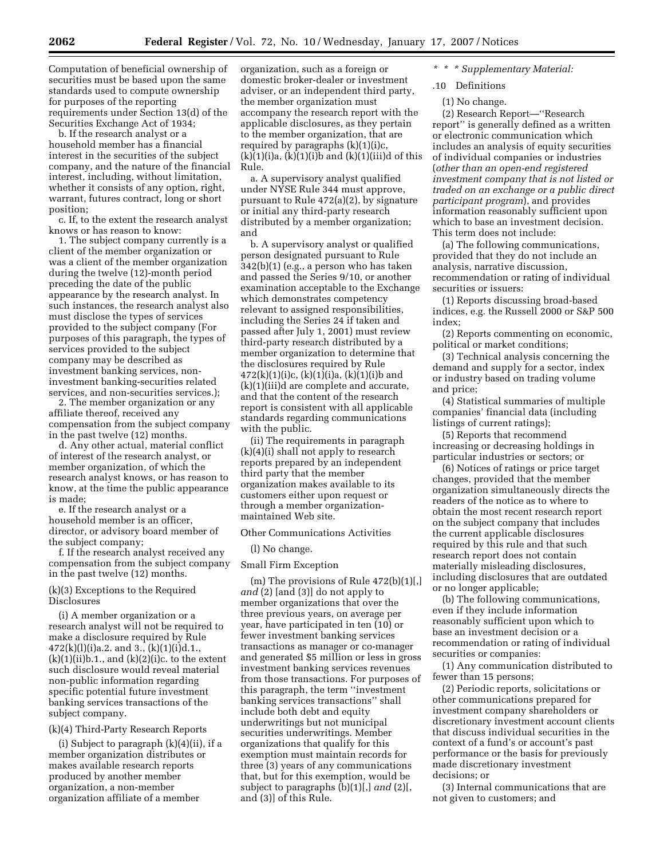Computation of beneficial ownership of securities must be based upon the same standards used to compute ownership for purposes of the reporting requirements under Section 13(d) of the Securities Exchange Act of 1934;

b. If the research analyst or a household member has a financial interest in the securities of the subject company, and the nature of the financial interest, including, without limitation, whether it consists of any option, right, warrant, futures contract, long or short position;

c. If, to the extent the research analyst knows or has reason to know:

1. The subject company currently is a client of the member organization or was a client of the member organization during the twelve (12)-month period preceding the date of the public appearance by the research analyst. In such instances, the research analyst also must disclose the types of services provided to the subject company (For purposes of this paragraph, the types of services provided to the subject company may be described as investment banking services, noninvestment banking-securities related services, and non-securities services.);

2. The member organization or any affiliate thereof, received any compensation from the subject company in the past twelve (12) months.

d. Any other actual, material conflict of interest of the research analyst, or member organization, of which the research analyst knows, or has reason to know, at the time the public appearance is made;

e. If the research analyst or a household member is an officer, director, or advisory board member of the subject company;

f. If the research analyst received any compensation from the subject company in the past twelve (12) months.

# (k)(3) Exceptions to the Required Disclosures

(i) A member organization or a research analyst will not be required to make a disclosure required by Rule  $472(k)(l)(i)a.2.$  and 3.,  $(k)(1)(i)d.1.$ ,  $(k)(1)(ii)b.1,$ , and  $(k)(2)(i)c$ . to the extent such disclosure would reveal material non-public information regarding specific potential future investment banking services transactions of the subject company.

### (k)(4) Third-Party Research Reports

(i) Subject to paragraph  $(k)(4)(ii)$ , if a member organization distributes or makes available research reports produced by another member organization, a non-member organization affiliate of a member

organization, such as a foreign or domestic broker-dealer or investment adviser, or an independent third party, the member organization must accompany the research report with the applicable disclosures, as they pertain to the member organization, that are required by paragraphs (k)(1)(i)c,  $(k)(1)(i)a$ ,  $(k)(1)(i)b$  and  $(k)(1)(iii)d$  of this Rule.

a. A supervisory analyst qualified under NYSE Rule 344 must approve, pursuant to Rule 472(a)(2), by signature or initial any third-party research distributed by a member organization; and

b. A supervisory analyst or qualified person designated pursuant to Rule 342(b)(1) (e.g., a person who has taken and passed the Series 9/10, or another examination acceptable to the Exchange which demonstrates competency relevant to assigned responsibilities, including the Series 24 if taken and passed after July 1, 2001) must review third-party research distributed by a member organization to determine that the disclosures required by Rule  $472(k)(1)(i)c$ ,  $(k)(1)(i)a$ ,  $(k)(1)(i)b$  and (k)(1)(iii)d are complete and accurate, and that the content of the research report is consistent with all applicable standards regarding communications with the public.

(ii) The requirements in paragraph (k)(4)(i) shall not apply to research reports prepared by an independent third party that the member organization makes available to its customers either upon request or through a member organizationmaintained Web site.

Other Communications Activities

(l) No change.

#### Small Firm Exception

(m) The provisions of Rule 472(b)(1)[,] *and* (2) [and (3)] do not apply to member organizations that over the three previous years, on average per year, have participated in ten (10) or fewer investment banking services transactions as manager or co-manager and generated \$5 million or less in gross investment banking services revenues from those transactions. For purposes of this paragraph, the term ''investment banking services transactions'' shall include both debt and equity underwritings but not municipal securities underwritings. Member organizations that qualify for this exemption must maintain records for three (3) years of any communications that, but for this exemption, would be subject to paragraphs (b)(1)[,] *and* (2)[, and (3)] of this Rule.

*\* \* \* Supplementary Material:* 

.10 Definitions

(1) No change.

(2) Research Report—''Research report'' is generally defined as a written or electronic communication which includes an analysis of equity securities of individual companies or industries (*other than an open-end registered investment company that is not listed or traded on an exchange or a public direct participant program*), and provides information reasonably sufficient upon which to base an investment decision. This term does not include:

(a) The following communications, provided that they do not include an analysis, narrative discussion, recommendation or rating of individual securities or issuers:

(1) Reports discussing broad-based indices, e.g. the Russell 2000 or S&P 500 index;

(2) Reports commenting on economic, political or market conditions;

(3) Technical analysis concerning the demand and supply for a sector, index or industry based on trading volume and price;

(4) Statistical summaries of multiple companies' financial data (including listings of current ratings);

(5) Reports that recommend increasing or decreasing holdings in particular industries or sectors; or

(6) Notices of ratings or price target changes, provided that the member organization simultaneously directs the readers of the notice as to where to obtain the most recent research report on the subject company that includes the current applicable disclosures required by this rule and that such research report does not contain materially misleading disclosures, including disclosures that are outdated or no longer applicable;

(b) The following communications, even if they include information reasonably sufficient upon which to base an investment decision or a recommendation or rating of individual securities or companies:

(1) Any communication distributed to fewer than 15 persons;

(2) Periodic reports, solicitations or other communications prepared for investment company shareholders or discretionary investment account clients that discuss individual securities in the context of a fund's or account's past performance or the basis for previously made discretionary investment decisions; or

(3) Internal communications that are not given to customers; and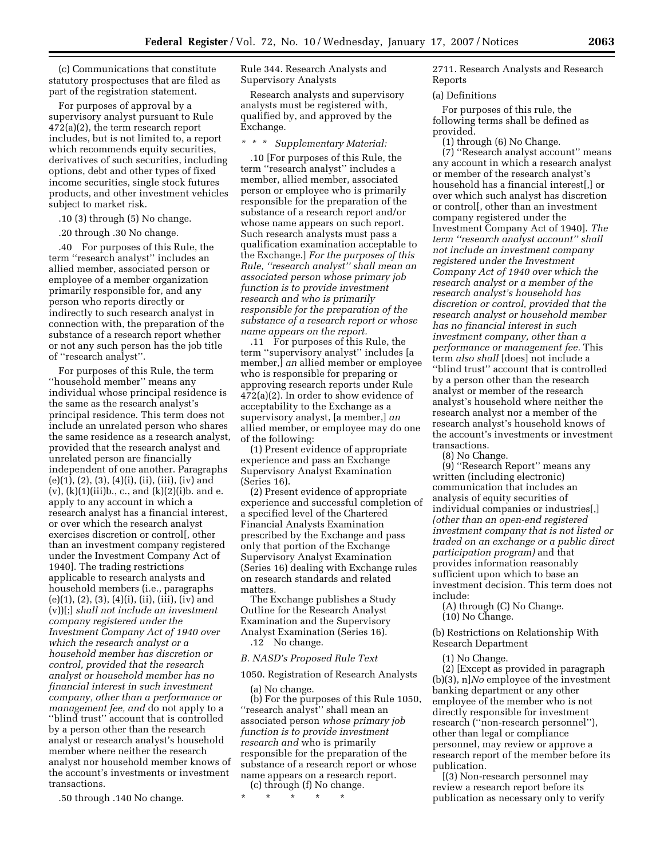(c) Communications that constitute statutory prospectuses that are filed as part of the registration statement.

For purposes of approval by a supervisory analyst pursuant to Rule 472(a)(2), the term research report includes, but is not limited to, a report which recommends equity securities, derivatives of such securities, including options, debt and other types of fixed income securities, single stock futures products, and other investment vehicles subject to market risk.

.10 (3) through (5) No change.

.20 through .30 No change.

.40 For purposes of this Rule, the term ''research analyst'' includes an allied member, associated person or employee of a member organization primarily responsible for, and any person who reports directly or indirectly to such research analyst in connection with, the preparation of the substance of a research report whether or not any such person has the job title of ''research analyst''.

For purposes of this Rule, the term ''household member'' means any individual whose principal residence is the same as the research analyst's principal residence. This term does not include an unrelated person who shares the same residence as a research analyst, provided that the research analyst and unrelated person are financially independent of one another. Paragraphs  $(e)(1), (2), (3), (4)(i), (ii), (iii), (iv)$  and (v), (k)(1)(iii)b., c., and (k)(2)(i)b. and e. apply to any account in which a research analyst has a financial interest, or over which the research analyst exercises discretion or control[, other than an investment company registered under the Investment Company Act of 1940]. The trading restrictions applicable to research analysts and household members (i.e., paragraphs (e)(1), (2), (3), (4)(i), (ii), (iii), (iv) and (v))[;] *shall not include an investment company registered under the Investment Company Act of 1940 over which the research analyst or a household member has discretion or control, provided that the research analyst or household member has no financial interest in such investment company, other than a performance or management fee, and* do not apply to a ''blind trust'' account that is controlled by a person other than the research analyst or research analyst's household member where neither the research analyst nor household member knows of the account's investments or investment transactions.

.50 through .140 No change.

Rule 344. Research Analysts and Supervisory Analysts

Research analysts and supervisory analysts must be registered with, qualified by, and approved by the Exchange.

# *\* \* \* Supplementary Material:*

.10 [For purposes of this Rule, the term ''research analyst'' includes a member, allied member, associated person or employee who is primarily responsible for the preparation of the substance of a research report and/or whose name appears on such report. Such research analysts must pass a qualification examination acceptable to the Exchange.] *For the purposes of this Rule, ''research analyst'' shall mean an associated person whose primary job function is to provide investment research and who is primarily responsible for the preparation of the substance of a research report or whose name appears on the report.* 

.11 For purposes of this Rule, the term ''supervisory analyst'' includes [a member,] *an* allied member or employee who is responsible for preparing or approving research reports under Rule 472(a)(2). In order to show evidence of acceptability to the Exchange as a supervisory analyst, [a member,] *an*  allied member, or employee may do one of the following:

(1) Present evidence of appropriate experience and pass an Exchange Supervisory Analyst Examination (Series 16).

(2) Present evidence of appropriate experience and successful completion of a specified level of the Chartered Financial Analysts Examination prescribed by the Exchange and pass only that portion of the Exchange Supervisory Analyst Examination (Series 16) dealing with Exchange rules on research standards and related matters.

The Exchange publishes a Study Outline for the Research Analyst Examination and the Supervisory Analyst Examination (Series 16).

.12 No change.

#### *B. NASD's Proposed Rule Text*

1050. Registration of Research Analysts

(a) No change.

(b) For the purposes of this Rule 1050, ''research analyst'' shall mean an associated person *whose primary job function is to provide investment research and* who is primarily responsible for the preparation of the substance of a research report or whose name appears on a research report.

(c) through (f) No change. \* \* \* \* \*

2711. Research Analysts and Research Reports

#### (a) Definitions

For purposes of this rule, the following terms shall be defined as provided.

(1) through (6) No Change.

(7) ''Research analyst account'' means any account in which a research analyst or member of the research analyst's household has a financial interest[,] or over which such analyst has discretion or control[, other than an investment company registered under the Investment Company Act of 1940]. *The term ''research analyst account'' shall not include an investment company registered under the Investment Company Act of 1940 over which the research analyst or a member of the research analyst's household has discretion or control, provided that the research analyst or household member has no financial interest in such investment company, other than a performance or management fee.* This term *also shall* [does] not include a ''blind trust'' account that is controlled by a person other than the research analyst or member of the research analyst's household where neither the research analyst nor a member of the research analyst's household knows of the account's investments or investment transactions.

(8) No Change.

(9) ''Research Report'' means any written (including electronic) communication that includes an analysis of equity securities of individual companies or industries[,] *(other than an open-end registered investment company that is not listed or traded on an exchange or a public direct participation program)* and that provides information reasonably sufficient upon which to base an investment decision. This term does not include:

(A) through (C) No Change. (10) No Change.

(b) Restrictions on Relationship With Research Department

(1) No Change.

(2) [Except as provided in paragraph (b)(3), n]*No* employee of the investment banking department or any other employee of the member who is not directly responsible for investment research (''non-research personnel''), other than legal or compliance personnel, may review or approve a research report of the member before its publication.

[(3) Non-research personnel may review a research report before its publication as necessary only to verify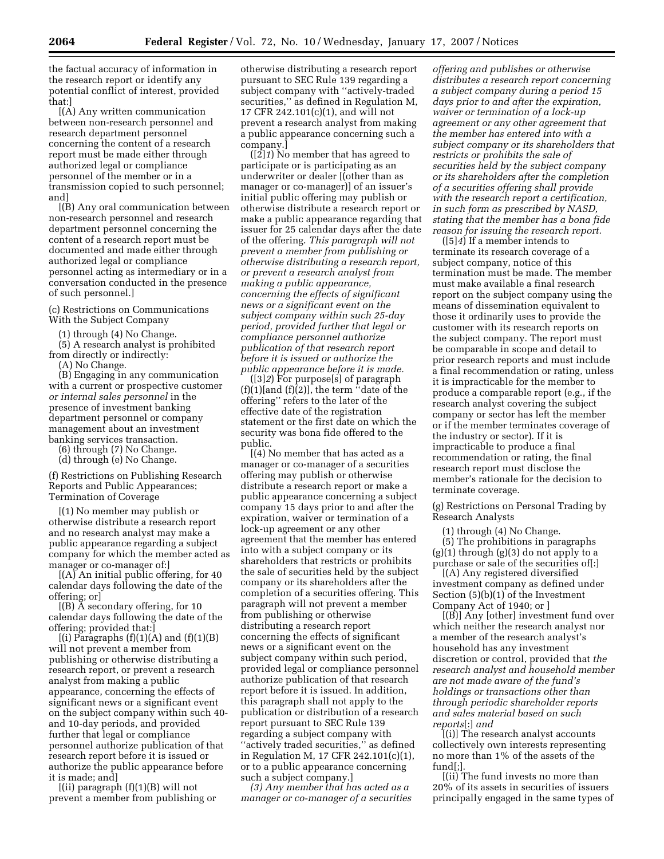the factual accuracy of information in the research report or identify any potential conflict of interest, provided that:]

[(A) Any written communication between non-research personnel and research department personnel concerning the content of a research report must be made either through authorized legal or compliance personnel of the member or in a transmission copied to such personnel; and<sup>1</sup>

[(B) Any oral communication between non-research personnel and research department personnel concerning the content of a research report must be documented and made either through authorized legal or compliance personnel acting as intermediary or in a conversation conducted in the presence of such personnel.]

(c) Restrictions on Communications With the Subject Company

(1) through (4) No Change.

(5) A research analyst is prohibited from directly or indirectly:

(A) No Change.

(B) Engaging in any communication with a current or prospective customer *or internal sales personnel* in the presence of investment banking department personnel or company management about an investment banking services transaction.

(6) through (7) No Change.

(d) through (e) No Change.

(f) Restrictions on Publishing Research Reports and Public Appearances; Termination of Coverage

[(1) No member may publish or otherwise distribute a research report and no research analyst may make a public appearance regarding a subject company for which the member acted as manager or co-manager of:]

 $[(A)$  An initial public offering, for 40 calendar days following the date of the offering; or]

[(B) A secondary offering, for 10 calendar days following the date of the offering; provided that:]

 $[(i)$  Paragraphs  $(f)(1)(A)$  and  $(f)(1)(B)$ will not prevent a member from publishing or otherwise distributing a research report, or prevent a research analyst from making a public appearance, concerning the effects of significant news or a significant event on the subject company within such 40 and 10-day periods, and provided further that legal or compliance personnel authorize publication of that research report before it is issued or authorize the public appearance before it is made; and]

 $[(ii)$  paragraph  $(f)(1)(B)$  will not prevent a member from publishing or

otherwise distributing a research report pursuant to SEC Rule 139 regarding a subject company with ''actively-traded securities,'' as defined in Regulation M, 17 CFR 242.101(c)(1), and will not prevent a research analyst from making a public appearance concerning such a company.]

([2]*1*) No member that has agreed to participate or is participating as an underwriter or dealer [(other than as manager or co-manager)] of an issuer's initial public offering may publish or otherwise distribute a research report or make a public appearance regarding that issuer for 25 calendar days after the date of the offering. *This paragraph will not prevent a member from publishing or otherwise distributing a research report, or prevent a research analyst from making a public appearance, concerning the effects of significant news or a significant event on the subject company within such 25-day period, provided further that legal or compliance personnel authorize publication of that research report before it is issued or authorize the public appearance before it is made.* 

([3]*2*) For purpose[s] of paragraph  $(f)(1)[and (f)(2)],$  the term "date of the offering'' refers to the later of the effective date of the registration statement or the first date on which the security was bona fide offered to the public.

[(4) No member that has acted as a manager or co-manager of a securities offering may publish or otherwise distribute a research report or make a public appearance concerning a subject company 15 days prior to and after the expiration, waiver or termination of a lock-up agreement or any other agreement that the member has entered into with a subject company or its shareholders that restricts or prohibits the sale of securities held by the subject company or its shareholders after the completion of a securities offering. This paragraph will not prevent a member from publishing or otherwise distributing a research report concerning the effects of significant news or a significant event on the subject company within such period, provided legal or compliance personnel authorize publication of that research report before it is issued. In addition, this paragraph shall not apply to the publication or distribution of a research report pursuant to SEC Rule 139 regarding a subject company with "actively traded securities," as defined in Regulation M, 17 CFR 242.101(c)(1), or to a public appearance concerning such a subject company.]

*(3) Any member that has acted as a manager or co-manager of a securities* 

*offering and publishes or otherwise distributes a research report concerning a subject company during a period 15 days prior to and after the expiration, waiver or termination of a lock-up agreement or any other agreement that the member has entered into with a subject company or its shareholders that restricts or prohibits the sale of securities held by the subject company or its shareholders after the completion of a securities offering shall provide with the research report a certification, in such form as prescribed by NASD, stating that the member has a bona fide reason for issuing the research report.* 

([5]*4*) If a member intends to terminate its research coverage of a subject company, notice of this termination must be made. The member must make available a final research report on the subject company using the means of dissemination equivalent to those it ordinarily uses to provide the customer with its research reports on the subject company. The report must be comparable in scope and detail to prior research reports and must include a final recommendation or rating, unless it is impracticable for the member to produce a comparable report (e.g., if the research analyst covering the subject company or sector has left the member or if the member terminates coverage of the industry or sector). If it is impracticable to produce a final recommendation or rating, the final research report must disclose the member's rationale for the decision to terminate coverage.

(g) Restrictions on Personal Trading by Research Analysts

(1) through (4) No Change.

(5) The prohibitions in paragraphs  $(g)(1)$  through  $(g)(3)$  do not apply to a purchase or sale of the securities of[:]

[(A) Any registered diversified investment company as defined under Section (5)(b)(1) of the Investment Company Act of 1940; or ]

[(B)] Any [other] investment fund over which neither the research analyst nor a member of the research analyst's household has any investment discretion or control, provided that *the research analyst and household member are not made aware of the fund's holdings or transactions other than through periodic shareholder reports and sales material based on such reports*[:] *and* 

[(i)] The research analyst accounts collectively own interests representing no more than 1% of the assets of the fund[;].

[(ii) The fund invests no more than 20% of its assets in securities of issuers principally engaged in the same types of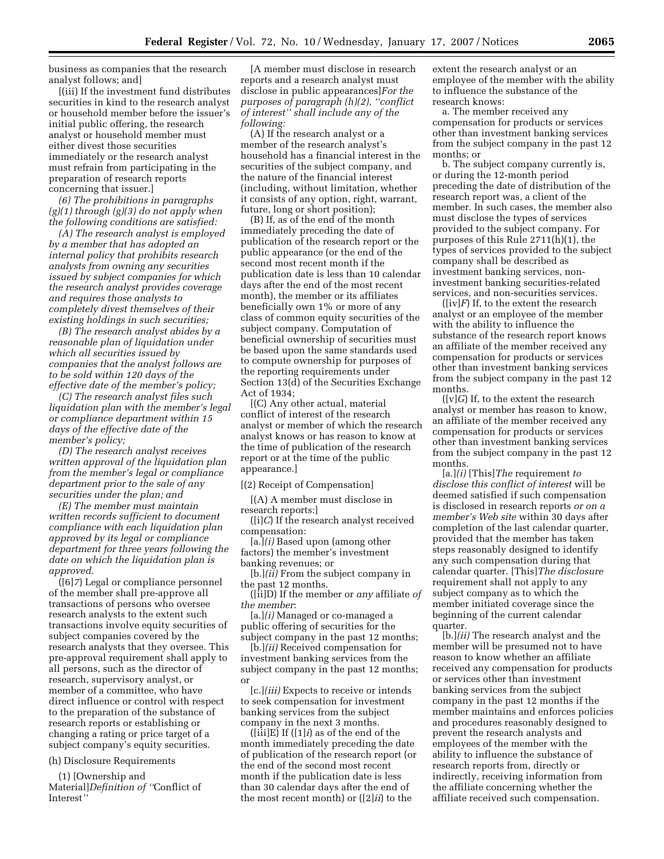business as companies that the research analyst follows; and]

[(iii) If the investment fund distributes securities in kind to the research analyst or household member before the issuer's initial public offering, the research analyst or household member must either divest those securities immediately or the research analyst must refrain from participating in the preparation of research reports concerning that issuer.]

*(6) The prohibitions in paragraphs (g)(1) through (g)(3) do not apply when the following conditions are satisfied:* 

*(A) The research analyst is employed by a member that has adopted an internal policy that prohibits research analysts from owning any securities issued by subject companies for which the research analyst provides coverage and requires those analysts to completely divest themselves of their existing holdings in such securities;* 

*(B) The research analyst abides by a reasonable plan of liquidation under which all securities issued by companies that the analyst follows are to be sold within 120 days of the effective date of the member's policy;* 

*(C) The research analyst files such liquidation plan with the member's legal or compliance department within 15 days of the effective date of the member's policy;* 

*(D) The research analyst receives written approval of the liquidation plan from the member's legal or compliance department prior to the sale of any securities under the plan; and* 

*(E) The member must maintain written records sufficient to document compliance with each liquidation plan approved by its legal or compliance department for three years following the date on which the liquidation plan is approved.* 

([6]*7*) Legal or compliance personnel of the member shall pre-approve all transactions of persons who oversee research analysts to the extent such transactions involve equity securities of subject companies covered by the research analysts that they oversee. This pre-approval requirement shall apply to all persons, such as the director of research, supervisory analyst, or member of a committee, who have direct influence or control with respect to the preparation of the substance of research reports or establishing or changing a rating or price target of a subject company's equity securities.

(h) Disclosure Requirements

(1) [Ownership and Material]*Definition of ''*Conflict of Interest*''*

[A member must disclose in research reports and a research analyst must disclose in public appearances]*For the purposes of paragraph (h)(2), ''conflict of interest'' shall include any of the following:* 

(A) If the research analyst or a member of the research analyst's household has a financial interest in the securities of the subject company, and the nature of the financial interest (including, without limitation, whether it consists of any option, right, warrant, future, long or short position);

(B) If, as of the end of the month immediately preceding the date of publication of the research report or the public appearance (or the end of the second most recent month if the publication date is less than 10 calendar days after the end of the most recent month), the member or its affiliates beneficially own 1% or more of any class of common equity securities of the subject company. Computation of beneficial ownership of securities must be based upon the same standards used to compute ownership for purposes of the reporting requirements under Section 13(d) of the Securities Exchange Act of 1934;

[(C) Any other actual, material conflict of interest of the research analyst or member of which the research analyst knows or has reason to know at the time of publication of the research report or at the time of the public appearance.]

[(2) Receipt of Compensation]

[(A) A member must disclose in research reports:]

([i]*C*) If the research analyst received compensation:

[a.]*(i)* Based upon (among other factors) the member's investment banking revenues; or

[b.]*(ii)* From the subject company in the past 12 months.

([ii]D) If the member or *any* affiliate *of the member*:

[a.]*(i)* Managed or co-managed a public offering of securities for the subject company in the past 12 months;

[b.]*(ii)* Received compensation for investment banking services from the subject company in the past 12 months; or

[c.]*(iii)* Expects to receive or intends to seek compensation for investment banking services from the subject company in the next 3 months.

([iii]E) If ([1]*i*) as of the end of the month immediately preceding the date of publication of the research report (or the end of the second most recent month if the publication date is less than 30 calendar days after the end of the most recent month) or ([2]*ii*) to the

extent the research analyst or an employee of the member with the ability to influence the substance of the research knows:

a. The member received any compensation for products or services other than investment banking services from the subject company in the past 12 months; or

b. The subject company currently is, or during the 12-month period preceding the date of distribution of the research report was, a client of the member. In such cases, the member also must disclose the types of services provided to the subject company. For purposes of this Rule 2711(h)(1), the types of services provided to the subject company shall be described as investment banking services, noninvestment banking securities-related services, and non-securities services.

 $([iv]F)$  If, to the extent the research analyst or an employee of the member with the ability to influence the substance of the research report knows an affiliate of the member received any compensation for products or services other than investment banking services from the subject company in the past 12 months.

([v]*G*) If, to the extent the research analyst or member has reason to know, an affiliate of the member received any compensation for products or services other than investment banking services from the subject company in the past 12 months.

[a.]*(i)* [This]*The* requirement *to disclose this conflict of interest* will be deemed satisfied if such compensation is disclosed in research reports *or on a member's Web site* within 30 days after completion of the last calendar quarter, provided that the member has taken steps reasonably designed to identify any such compensation during that calendar quarter. [This]*The disclosure*  requirement shall not apply to any subject company as to which the member initiated coverage since the beginning of the current calendar quarter.

[b.]*(ii)* The research analyst and the member will be presumed not to have reason to know whether an affiliate received any compensation for products or services other than investment banking services from the subject company in the past 12 months if the member maintains and enforces policies and procedures reasonably designed to prevent the research analysts and employees of the member with the ability to influence the substance of research reports from, directly or indirectly, receiving information from the affiliate concerning whether the affiliate received such compensation.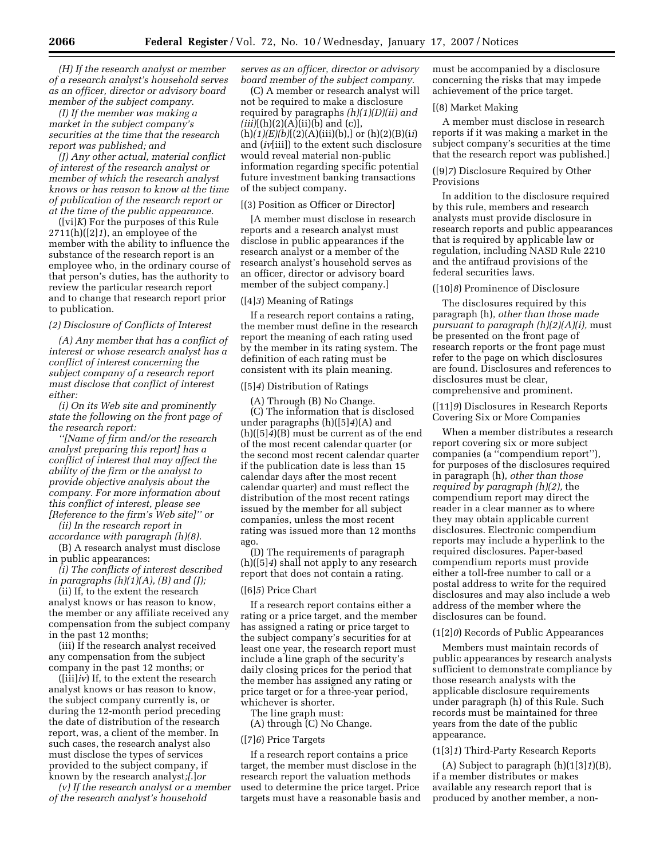*(H) If the research analyst or member of a research analyst's household serves as an officer, director or advisory board member of the subject company.* 

*(I) If the member was making a market in the subject company's securities at the time that the research report was published; and* 

*(J) Any other actual, material conflict of interest of the research analyst or member of which the research analyst knows or has reason to know at the time of publication of the research report or at the time of the public appearance.* 

([vi]*K*) For the purposes of this Rule 2711(h)([2]*1*), an employee of the member with the ability to influence the substance of the research report is an employee who, in the ordinary course of that person's duties, has the authority to review the particular research report and to change that research report prior to publication.

#### *(2) Disclosure of Conflicts of Interest*

*(A) Any member that has a conflict of interest or whose research analyst has a conflict of interest concerning the subject company of a research report must disclose that conflict of interest either:* 

*(i) On its Web site and prominently state the following on the front page of the research report:* 

*''[Name of firm and/or the research analyst preparing this report] has a conflict of interest that may affect the ability of the firm or the analyst to provide objective analysis about the company. For more information about this conflict of interest, please see [Reference to the firm's Web site]'' or* 

*(ii) In the research report in accordance with paragraph (h)(8).* 

(B) A research analyst must disclose in public appearances:

*(i) The conflicts of interest described in paragraphs (h)(1)(A), (B) and (J);* 

(ii) If, to the extent the research analyst knows or has reason to know, the member or any affiliate received any compensation from the subject company in the past 12 months;

(iii) If the research analyst received any compensation from the subject company in the past 12 months; or

([iii]*iv*) If, to the extent the research analyst knows or has reason to know, the subject company currently is, or during the 12-month period preceding the date of distribution of the research report, was, a client of the member. In such cases, the research analyst also must disclose the types of services provided to the subject company, if known by the research analyst*;[*.]*or* 

*(v) If the research analyst or a member of the research analyst's household* 

*serves as an officer, director or advisory board member of the subject company.* 

(C) A member or research analyst will not be required to make a disclosure required by paragraphs *(h)(1)(D)(ii) and*   $(iii)$ [(h)(2)(A)(ii)(b) and (c)], (h)*(1)(E)(b)*[(2)(A)(iii)(b),] or (h)(2)(B)(i*i*) and (*iv*[iii]) to the extent such disclosure would reveal material non-public information regarding specific potential future investment banking transactions of the subject company.

#### [(3) Position as Officer or Director]

[A member must disclose in research reports and a research analyst must disclose in public appearances if the research analyst or a member of the research analyst's household serves as an officer, director or advisory board member of the subject company.]

# ([4]*3*) Meaning of Ratings

If a research report contains a rating, the member must define in the research report the meaning of each rating used by the member in its rating system. The definition of each rating must be consistent with its plain meaning.

### ([5]*4*) Distribution of Ratings

(A) Through (B) No Change. (C) The information that is disclosed under paragraphs (h)([5]*4*)(A) and (h)([5]*4*)(B) must be current as of the end of the most recent calendar quarter (or the second most recent calendar quarter if the publication date is less than 15 calendar days after the most recent calendar quarter) and must reflect the distribution of the most recent ratings issued by the member for all subject companies, unless the most recent rating was issued more than 12 months ago.

(D) The requirements of paragraph (h)([5]*4*) shall not apply to any research report that does not contain a rating.

#### ([6]*5*) Price Chart

If a research report contains either a rating or a price target, and the member has assigned a rating or price target to the subject company's securities for at least one year, the research report must include a line graph of the security's daily closing prices for the period that the member has assigned any rating or price target or for a three-year period, whichever is shorter.

The line graph must:

(A) through (C) No Change.

### ([7]*6*) Price Targets

If a research report contains a price target, the member must disclose in the research report the valuation methods used to determine the price target. Price targets must have a reasonable basis and must be accompanied by a disclosure concerning the risks that may impede achievement of the price target.

# [(8) Market Making

A member must disclose in research reports if it was making a market in the subject company's securities at the time that the research report was published.]

# ([9]*7*) Disclosure Required by Other Provisions

In addition to the disclosure required by this rule, members and research analysts must provide disclosure in research reports and public appearances that is required by applicable law or regulation, including NASD Rule 2210 and the antifraud provisions of the federal securities laws.

### ([10]*8*) Prominence of Disclosure

The disclosures required by this paragraph (h)*, other than those made pursuant to paragraph (h)(2)(A)(i),* must be presented on the front page of research reports or the front page must refer to the page on which disclosures are found. Disclosures and references to disclosures must be clear, comprehensive and prominent.

([11]*9*) Disclosures in Research Reports Covering Six or More Companies

When a member distributes a research report covering six or more subject companies (a ''compendium report''), for purposes of the disclosures required in paragraph (h), *other than those required by paragraph (h)(2),* the compendium report may direct the reader in a clear manner as to where they may obtain applicable current disclosures. Electronic compendium reports may include a hyperlink to the required disclosures. Paper-based compendium reports must provide either a toll-free number to call or a postal address to write for the required disclosures and may also include a web address of the member where the disclosures can be found.

### (1[2]*0*) Records of Public Appearances

Members must maintain records of public appearances by research analysts sufficient to demonstrate compliance by those research analysts with the applicable disclosure requirements under paragraph (h) of this Rule. Such records must be maintained for three years from the date of the public appearance.

# (1[3]*1*) Third-Party Research Reports

(A) Subject to paragraph (h)(1[3]*1*)(B), if a member distributes or makes available any research report that is produced by another member, a non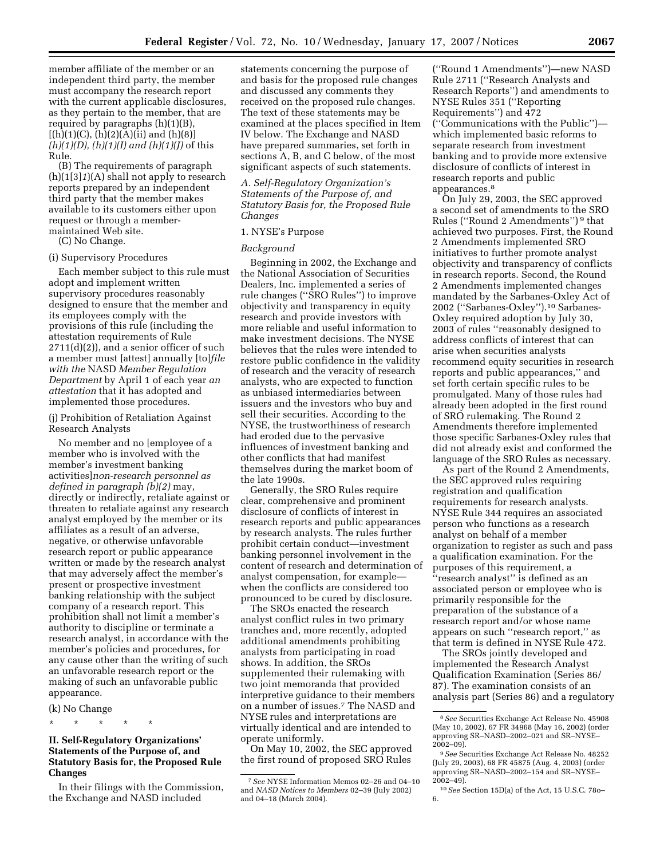member affiliate of the member or an independent third party, the member must accompany the research report with the current applicable disclosures, as they pertain to the member, that are required by paragraphs (h)(1)(B),  $[(h)(1)(C), (h)(2)(A)(ii)$  and  $(h)(8)]$ *(h)(1)(D), (h)(1)(I) and (h)(1)(J)* of this Rule.

(B) The requirements of paragraph  $(h)(1[3]1)(A)$  shall not apply to research reports prepared by an independent third party that the member makes available to its customers either upon request or through a membermaintained Web site.

(C) No Change.

#### (i) Supervisory Procedures

Each member subject to this rule must adopt and implement written supervisory procedures reasonably designed to ensure that the member and its employees comply with the provisions of this rule (including the attestation requirements of Rule  $2711(d)(2)$ , and a senior officer of such a member must [attest] annually [to]*file with the* NASD *Member Regulation Department* by April 1 of each year *an attestation* that it has adopted and implemented those procedures.

# (j) Prohibition of Retaliation Against Research Analysts

No member and no [employee of a member who is involved with the member's investment banking activities]*non-research personnel as defined in paragraph (b)(2)* may, directly or indirectly, retaliate against or threaten to retaliate against any research analyst employed by the member or its affiliates as a result of an adverse, negative, or otherwise unfavorable research report or public appearance written or made by the research analyst that may adversely affect the member's present or prospective investment banking relationship with the subject company of a research report. This prohibition shall not limit a member's authority to discipline or terminate a research analyst, in accordance with the member's policies and procedures, for any cause other than the writing of such an unfavorable research report or the making of such an unfavorable public appearance.

#### (k) No Change

\* \* \* \* \*

# **II. Self-Regulatory Organizations' Statements of the Purpose of, and Statutory Basis for, the Proposed Rule Changes**

In their filings with the Commission, the Exchange and NASD included

statements concerning the purpose of and basis for the proposed rule changes and discussed any comments they received on the proposed rule changes. The text of these statements may be examined at the places specified in Item IV below. The Exchange and NASD have prepared summaries, set forth in sections A, B, and C below, of the most significant aspects of such statements.

*A. Self-Regulatory Organization's Statements of the Purpose of, and Statutory Basis for, the Proposed Rule Changes* 

# 1. NYSE's Purpose

# *Background*

Beginning in 2002, the Exchange and the National Association of Securities Dealers, Inc. implemented a series of rule changes (''SRO Rules'') to improve objectivity and transparency in equity research and provide investors with more reliable and useful information to make investment decisions. The NYSE believes that the rules were intended to restore public confidence in the validity of research and the veracity of research analysts, who are expected to function as unbiased intermediaries between issuers and the investors who buy and sell their securities. According to the NYSE, the trustworthiness of research had eroded due to the pervasive influences of investment banking and other conflicts that had manifest themselves during the market boom of the late 1990s.

Generally, the SRO Rules require clear, comprehensive and prominent disclosure of conflicts of interest in research reports and public appearances by research analysts. The rules further prohibit certain conduct—investment banking personnel involvement in the content of research and determination of analyst compensation, for example when the conflicts are considered too pronounced to be cured by disclosure.

The SROs enacted the research analyst conflict rules in two primary tranches and, more recently, adopted additional amendments prohibiting analysts from participating in road shows. In addition, the SROs supplemented their rulemaking with two joint memoranda that provided interpretive guidance to their members on a number of issues.7 The NASD and NYSE rules and interpretations are virtually identical and are intended to operate uniformly.

On May 10, 2002, the SEC approved the first round of proposed SRO Rules

(''Round 1 Amendments'')—new NASD Rule 2711 (''Research Analysts and Research Reports'') and amendments to NYSE Rules 351 (''Reporting Requirements'') and 472 (''Communications with the Public'') which implemented basic reforms to separate research from investment banking and to provide more extensive disclosure of conflicts of interest in research reports and public appearances.8

On July 29, 2003, the SEC approved a second set of amendments to the SRO Rules (''Round 2 Amendments'') 9 that achieved two purposes. First, the Round 2 Amendments implemented SRO initiatives to further promote analyst objectivity and transparency of conflicts in research reports. Second, the Round 2 Amendments implemented changes mandated by the Sarbanes-Oxley Act of 2002 (''Sarbanes-Oxley'').10 Sarbanes-Oxley required adoption by July 30, 2003 of rules ''reasonably designed to address conflicts of interest that can arise when securities analysts recommend equity securities in research reports and public appearances,'' and set forth certain specific rules to be promulgated. Many of those rules had already been adopted in the first round of SRO rulemaking. The Round 2 Amendments therefore implemented those specific Sarbanes-Oxley rules that did not already exist and conformed the language of the SRO Rules as necessary.

As part of the Round 2 Amendments, the SEC approved rules requiring registration and qualification requirements for research analysts. NYSE Rule 344 requires an associated person who functions as a research analyst on behalf of a member organization to register as such and pass a qualification examination. For the purposes of this requirement, a ''research analyst'' is defined as an associated person or employee who is primarily responsible for the preparation of the substance of a research report and/or whose name appears on such ''research report,'' as that term is defined in NYSE Rule 472.

The SROs jointly developed and implemented the Research Analyst Qualification Examination (Series 86/ 87). The examination consists of an analysis part (Series 86) and a regulatory

<sup>7</sup>*See* NYSE Information Memos 02–26 and 04–10 and *NASD Notices to Members* 02–39 (July 2002) and 04–18 (March 2004).

<sup>8</sup>*See* Securities Exchange Act Release No. 45908 (May 10, 2002), 67 FR 34968 (May 16, 2002) (order approving SR–NASD–2002–021 and SR–NYSE–  $2002 - 09$ ).

<sup>9</sup>*See* Securities Exchange Act Release No. 48252 (July 29, 2003), 68 FR 45875 (Aug. 4, 2003) (order approving SR–NASD–2002–154 and SR–NYSE– 2002–49).

<sup>10</sup>*See* Section 15D(a) of the Act, 15 U.S.C. 78o– 6.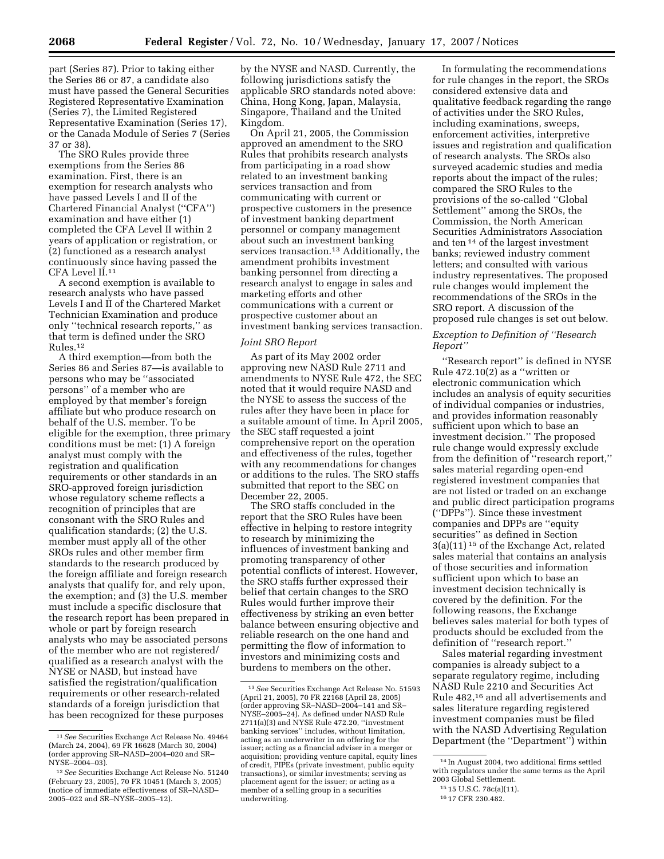part (Series 87). Prior to taking either the Series 86 or 87, a candidate also must have passed the General Securities Registered Representative Examination (Series 7), the Limited Registered Representative Examination (Series 17), or the Canada Module of Series 7 (Series 37 or 38).

The SRO Rules provide three exemptions from the Series 86 examination. First, there is an exemption for research analysts who have passed Levels I and II of the Chartered Financial Analyst (''CFA'') examination and have either (1) completed the CFA Level II within 2 years of application or registration, or (2) functioned as a research analyst continuously since having passed the CFA Level II.11

A second exemption is available to research analysts who have passed Levels I and II of the Chartered Market Technician Examination and produce only ''technical research reports,'' as that term is defined under the SRO Rules.12

A third exemption—from both the Series 86 and Series 87—is available to persons who may be ''associated persons'' of a member who are employed by that member's foreign affiliate but who produce research on behalf of the U.S. member. To be eligible for the exemption, three primary conditions must be met: (1) A foreign analyst must comply with the registration and qualification requirements or other standards in an SRO-approved foreign jurisdiction whose regulatory scheme reflects a recognition of principles that are consonant with the SRO Rules and qualification standards; (2) the U.S. member must apply all of the other SROs rules and other member firm standards to the research produced by the foreign affiliate and foreign research analysts that qualify for, and rely upon, the exemption; and (3) the U.S. member must include a specific disclosure that the research report has been prepared in whole or part by foreign research analysts who may be associated persons of the member who are not registered/ qualified as a research analyst with the NYSE or NASD, but instead have satisfied the registration/qualification requirements or other research-related standards of a foreign jurisdiction that has been recognized for these purposes

by the NYSE and NASD. Currently, the following jurisdictions satisfy the applicable SRO standards noted above: China, Hong Kong, Japan, Malaysia, Singapore, Thailand and the United Kingdom.

On April 21, 2005, the Commission approved an amendment to the SRO Rules that prohibits research analysts from participating in a road show related to an investment banking services transaction and from communicating with current or prospective customers in the presence of investment banking department personnel or company management about such an investment banking services transaction.<sup>13</sup> Additionally, the amendment prohibits investment banking personnel from directing a research analyst to engage in sales and marketing efforts and other communications with a current or prospective customer about an investment banking services transaction.

#### *Joint SRO Report*

As part of its May 2002 order approving new NASD Rule 2711 and amendments to NYSE Rule 472, the SEC noted that it would require NASD and the NYSE to assess the success of the rules after they have been in place for a suitable amount of time. In April 2005, the SEC staff requested a joint comprehensive report on the operation and effectiveness of the rules, together with any recommendations for changes or additions to the rules. The SRO staffs submitted that report to the SEC on December 22, 2005.

The SRO staffs concluded in the report that the SRO Rules have been effective in helping to restore integrity to research by minimizing the influences of investment banking and promoting transparency of other potential conflicts of interest. However, the SRO staffs further expressed their belief that certain changes to the SRO Rules would further improve their effectiveness by striking an even better balance between ensuring objective and reliable research on the one hand and permitting the flow of information to investors and minimizing costs and burdens to members on the other.

In formulating the recommendations for rule changes in the report, the SROs considered extensive data and qualitative feedback regarding the range of activities under the SRO Rules, including examinations, sweeps, enforcement activities, interpretive issues and registration and qualification of research analysts. The SROs also surveyed academic studies and media reports about the impact of the rules; compared the SRO Rules to the provisions of the so-called ''Global Settlement'' among the SROs, the Commission, the North American Securities Administrators Association and ten 14 of the largest investment banks; reviewed industry comment letters; and consulted with various industry representatives. The proposed rule changes would implement the recommendations of the SROs in the SRO report. A discussion of the proposed rule changes is set out below.

# *Exception to Definition of ''Research Report''*

''Research report'' is defined in NYSE Rule  $472.10(2)$  as a "written or electronic communication which includes an analysis of equity securities of individual companies or industries, and provides information reasonably sufficient upon which to base an investment decision.'' The proposed rule change would expressly exclude from the definition of ''research report,'' sales material regarding open-end registered investment companies that are not listed or traded on an exchange and public direct participation programs (''DPPs''). Since these investment companies and DPPs are ''equity securities'' as defined in Section 3(a)(11) 15 of the Exchange Act, related sales material that contains an analysis of those securities and information sufficient upon which to base an investment decision technically is covered by the definition. For the following reasons, the Exchange believes sales material for both types of products should be excluded from the definition of ''research report.''

Sales material regarding investment companies is already subject to a separate regulatory regime, including NASD Rule 2210 and Securities Act Rule 482,16 and all advertisements and sales literature regarding registered investment companies must be filed with the NASD Advertising Regulation Department (the ''Department'') within

<sup>11</sup>*See* Securities Exchange Act Release No. 49464 (March 24, 2004), 69 FR 16628 (March 30, 2004) (order approving SR–NASD–2004–020 and SR– NYSE–2004–03).

<sup>12</sup>*See* Securities Exchange Act Release No. 51240 (February 23, 2005), 70 FR 10451 (March 3, 2005) (notice of immediate effectiveness of SR–NASD– 2005–022 and SR–NYSE–2005–12).

<sup>13</sup>*See* Securities Exchange Act Release No. 51593 (April 21, 2005), 70 FR 22168 (April 28, 2005) (order approving SR–NASD–2004–141 and SR– NYSE–2005–24). As defined under NASD Rule 2711(a)(3) and NYSE Rule 472.20, ''investment banking services'' includes, without limitation, acting as an underwriter in an offering for the issuer; acting as a financial adviser in a merger or acquisition; providing venture capital, equity lines of credit, PIPEs (private investment, public equity transactions), or similar investments; serving as placement agent for the issuer; or acting as a member of a selling group in a securities underwriting.

<sup>14</sup> In August 2004, two additional firms settled with regulators under the same terms as the April 2003 Global Settlement.

<sup>15</sup> 15 U.S.C. 78c(a)(11).

<sup>16</sup> 17 CFR 230.482.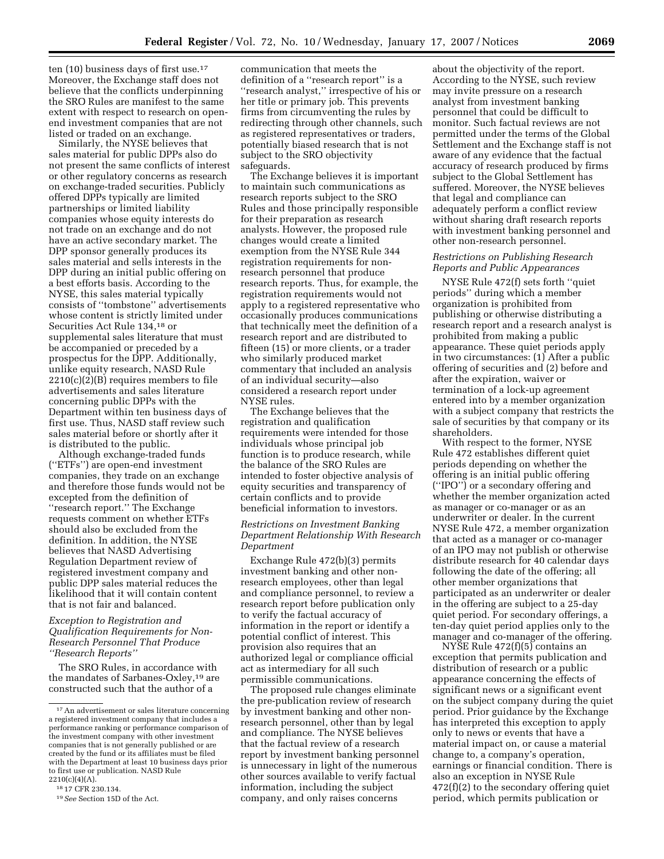ten (10) business days of first use.17 Moreover, the Exchange staff does not believe that the conflicts underpinning the SRO Rules are manifest to the same extent with respect to research on openend investment companies that are not listed or traded on an exchange.

Similarly, the NYSE believes that sales material for public DPPs also do not present the same conflicts of interest or other regulatory concerns as research on exchange-traded securities. Publicly offered DPPs typically are limited partnerships or limited liability companies whose equity interests do not trade on an exchange and do not have an active secondary market. The DPP sponsor generally produces its sales material and sells interests in the DPP during an initial public offering on a best efforts basis. According to the NYSE, this sales material typically consists of ''tombstone'' advertisements whose content is strictly limited under Securities Act Rule 134,18 or supplemental sales literature that must be accompanied or preceded by a prospectus for the DPP. Additionally, unlike equity research, NASD Rule  $2210(c)(2)(B)$  requires members to file advertisements and sales literature concerning public DPPs with the Department within ten business days of first use. Thus, NASD staff review such sales material before or shortly after it is distributed to the public.

Although exchange-traded funds (''ETFs'') are open-end investment companies, they trade on an exchange and therefore those funds would not be excepted from the definition of ''research report.'' The Exchange requests comment on whether ETFs should also be excluded from the definition. In addition, the NYSE believes that NASD Advertising Regulation Department review of registered investment company and public DPP sales material reduces the likelihood that it will contain content that is not fair and balanced.

# *Exception to Registration and Qualification Requirements for Non-Research Personnel That Produce ''Research Reports''*

The SRO Rules, in accordance with the mandates of Sarbanes-Oxley,19 are constructed such that the author of a

communication that meets the definition of a ''research report'' is a ''research analyst,'' irrespective of his or her title or primary job. This prevents firms from circumventing the rules by redirecting through other channels, such as registered representatives or traders, potentially biased research that is not subject to the SRO objectivity safeguards.

The Exchange believes it is important to maintain such communications as research reports subject to the SRO Rules and those principally responsible for their preparation as research analysts. However, the proposed rule changes would create a limited exemption from the NYSE Rule 344 registration requirements for nonresearch personnel that produce research reports. Thus, for example, the registration requirements would not apply to a registered representative who occasionally produces communications that technically meet the definition of a research report and are distributed to fifteen (15) or more clients, or a trader who similarly produced market commentary that included an analysis of an individual security—also considered a research report under NYSE rules.

The Exchange believes that the registration and qualification requirements were intended for those individuals whose principal job function is to produce research, while the balance of the SRO Rules are intended to foster objective analysis of equity securities and transparency of certain conflicts and to provide beneficial information to investors.

# *Restrictions on Investment Banking Department Relationship With Research Department*

Exchange Rule 472(b)(3) permits investment banking and other nonresearch employees, other than legal and compliance personnel, to review a research report before publication only to verify the factual accuracy of information in the report or identify a potential conflict of interest. This provision also requires that an authorized legal or compliance official act as intermediary for all such permissible communications.

The proposed rule changes eliminate the pre-publication review of research by investment banking and other nonresearch personnel, other than by legal and compliance. The NYSE believes that the factual review of a research report by investment banking personnel is unnecessary in light of the numerous other sources available to verify factual information, including the subject company, and only raises concerns

about the objectivity of the report. According to the NYSE, such review may invite pressure on a research analyst from investment banking personnel that could be difficult to monitor. Such factual reviews are not permitted under the terms of the Global Settlement and the Exchange staff is not aware of any evidence that the factual accuracy of research produced by firms subject to the Global Settlement has suffered. Moreover, the NYSE believes that legal and compliance can adequately perform a conflict review without sharing draft research reports with investment banking personnel and other non-research personnel.

### *Restrictions on Publishing Research Reports and Public Appearances*

NYSE Rule 472(f) sets forth ''quiet periods'' during which a member organization is prohibited from publishing or otherwise distributing a research report and a research analyst is prohibited from making a public appearance. These quiet periods apply in two circumstances: (1) After a public offering of securities and (2) before and after the expiration, waiver or termination of a lock-up agreement entered into by a member organization with a subject company that restricts the sale of securities by that company or its shareholders.

With respect to the former, NYSE Rule 472 establishes different quiet periods depending on whether the offering is an initial public offering (''IPO'') or a secondary offering and whether the member organization acted as manager or co-manager or as an underwriter or dealer. In the current NYSE Rule 472, a member organization that acted as a manager or co-manager of an IPO may not publish or otherwise distribute research for 40 calendar days following the date of the offering; all other member organizations that participated as an underwriter or dealer in the offering are subject to a 25-day quiet period. For secondary offerings, a ten-day quiet period applies only to the manager and co-manager of the offering.

NYSE Rule 472(f)(5) contains an exception that permits publication and distribution of research or a public appearance concerning the effects of significant news or a significant event on the subject company during the quiet period. Prior guidance by the Exchange has interpreted this exception to apply only to news or events that have a material impact on, or cause a material change to, a company's operation, earnings or financial condition. There is also an exception in NYSE Rule 472(f)(2) to the secondary offering quiet period, which permits publication or

<sup>17</sup>An advertisement or sales literature concerning a registered investment company that includes a performance ranking or performance comparison of the investment company with other investment companies that is not generally published or are created by the fund or its affiliates must be filed with the Department at least 10 business days prior to first use or publication. NASD Rule 2210(c)(4)(A).

<sup>18</sup> 17 CFR 230.134.

<sup>19</sup>*See* Section 15D of the Act.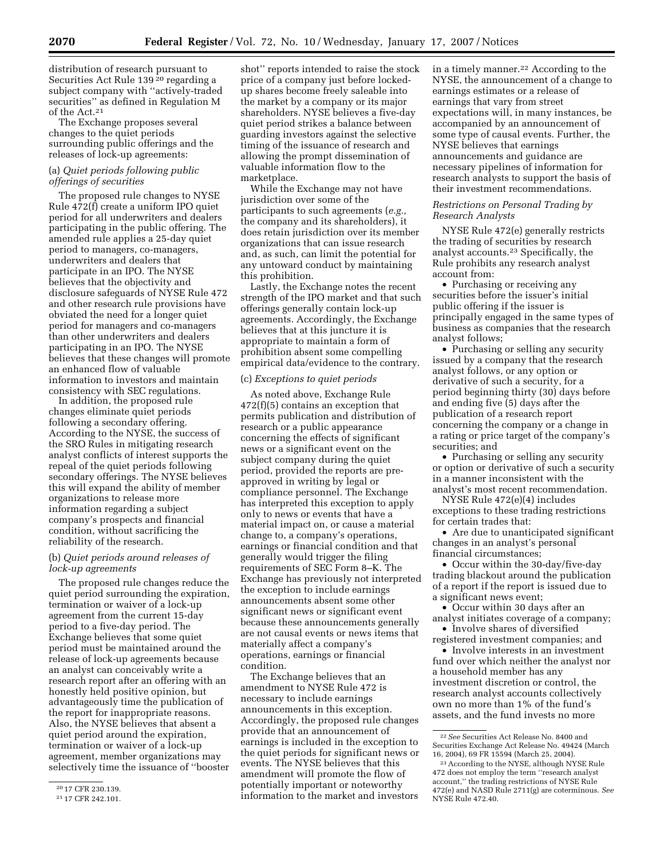distribution of research pursuant to Securities Act Rule 139<sup>20</sup> regarding a subject company with ''actively-traded securities'' as defined in Regulation M of the Act.21

The Exchange proposes several changes to the quiet periods surrounding public offerings and the releases of lock-up agreements:

# (a) *Quiet periods following public offerings of securities*

The proposed rule changes to NYSE Rule 472(f) create a uniform IPO quiet period for all underwriters and dealers participating in the public offering. The amended rule applies a 25-day quiet period to managers, co-managers, underwriters and dealers that participate in an IPO. The NYSE believes that the objectivity and disclosure safeguards of NYSE Rule 472 and other research rule provisions have obviated the need for a longer quiet period for managers and co-managers than other underwriters and dealers participating in an IPO. The NYSE believes that these changes will promote an enhanced flow of valuable information to investors and maintain consistency with SEC regulations.

In addition, the proposed rule changes eliminate quiet periods following a secondary offering. According to the NYSE, the success of the SRO Rules in mitigating research analyst conflicts of interest supports the repeal of the quiet periods following secondary offerings. The NYSE believes this will expand the ability of member organizations to release more information regarding a subject company's prospects and financial condition, without sacrificing the reliability of the research.

### (b) *Quiet periods around releases of lock-up agreements*

The proposed rule changes reduce the quiet period surrounding the expiration, termination or waiver of a lock-up agreement from the current 15-day period to a five-day period. The Exchange believes that some quiet period must be maintained around the release of lock-up agreements because an analyst can conceivably write a research report after an offering with an honestly held positive opinion, but advantageously time the publication of the report for inappropriate reasons. Also, the NYSE believes that absent a quiet period around the expiration, termination or waiver of a lock-up agreement, member organizations may selectively time the issuance of ''booster

shot'' reports intended to raise the stock price of a company just before lockedup shares become freely saleable into the market by a company or its major shareholders. NYSE believes a five-day quiet period strikes a balance between guarding investors against the selective timing of the issuance of research and allowing the prompt dissemination of valuable information flow to the marketplace.

While the Exchange may not have jurisdiction over some of the participants to such agreements (*e.g.,*  the company and its shareholders), it does retain jurisdiction over its member organizations that can issue research and, as such, can limit the potential for any untoward conduct by maintaining this prohibition.

Lastly, the Exchange notes the recent strength of the IPO market and that such offerings generally contain lock-up agreements. Accordingly, the Exchange believes that at this juncture it is appropriate to maintain a form of prohibition absent some compelling empirical data/evidence to the contrary.

#### (c) *Exceptions to quiet periods*

As noted above, Exchange Rule 472(f)(5) contains an exception that permits publication and distribution of research or a public appearance concerning the effects of significant news or a significant event on the subject company during the quiet period, provided the reports are preapproved in writing by legal or compliance personnel. The Exchange has interpreted this exception to apply only to news or events that have a material impact on, or cause a material change to, a company's operations, earnings or financial condition and that generally would trigger the filing requirements of SEC Form 8–K. The Exchange has previously not interpreted the exception to include earnings announcements absent some other significant news or significant event because these announcements generally are not causal events or news items that materially affect a company's operations, earnings or financial condition.

The Exchange believes that an amendment to NYSE Rule 472 is necessary to include earnings announcements in this exception. Accordingly, the proposed rule changes provide that an announcement of earnings is included in the exception to the quiet periods for significant news or events. The NYSE believes that this amendment will promote the flow of potentially important or noteworthy information to the market and investors in a timely manner.22 According to the NYSE, the announcement of a change to earnings estimates or a release of earnings that vary from street expectations will, in many instances, be accompanied by an announcement of some type of causal events. Further, the NYSE believes that earnings announcements and guidance are necessary pipelines of information for research analysts to support the basis of their investment recommendations.

# *Restrictions on Personal Trading by Research Analysts*

NYSE Rule 472(e) generally restricts the trading of securities by research analyst accounts.23 Specifically, the Rule prohibits any research analyst account from:

• Purchasing or receiving any securities before the issuer's initial public offering if the issuer is principally engaged in the same types of business as companies that the research analyst follows;

• Purchasing or selling any security issued by a company that the research analyst follows, or any option or derivative of such a security, for a period beginning thirty (30) days before and ending five (5) days after the publication of a research report concerning the company or a change in a rating or price target of the company's securities; and

• Purchasing or selling any security or option or derivative of such a security in a manner inconsistent with the analyst's most recent recommendation.

NYSE Rule 472(e)(4) includes exceptions to these trading restrictions for certain trades that:

• Are due to unanticipated significant changes in an analyst's personal financial circumstances;

• Occur within the 30-day/five-day trading blackout around the publication of a report if the report is issued due to a significant news event;

• Occur within 30 days after an analyst initiates coverage of a company;

• Involve shares of diversified registered investment companies; and

• Involve interests in an investment fund over which neither the analyst nor a household member has any investment discretion or control, the research analyst accounts collectively own no more than 1% of the fund's assets, and the fund invests no more

<sup>20</sup> 17 CFR 230.139.

<sup>21</sup> 17 CFR 242.101.

<sup>22</sup>*See* Securities Act Release No. 8400 and Securities Exchange Act Release No. 49424 (March 16, 2004), 69 FR 15594 (March 25, 2004).

<sup>23</sup>According to the NYSE, although NYSE Rule 472 does not employ the term ''research analyst account,'' the trading restrictions of NYSE Rule 472(e) and NASD Rule 2711(g) are coterminous. *See*  NYSE Rule 472.40.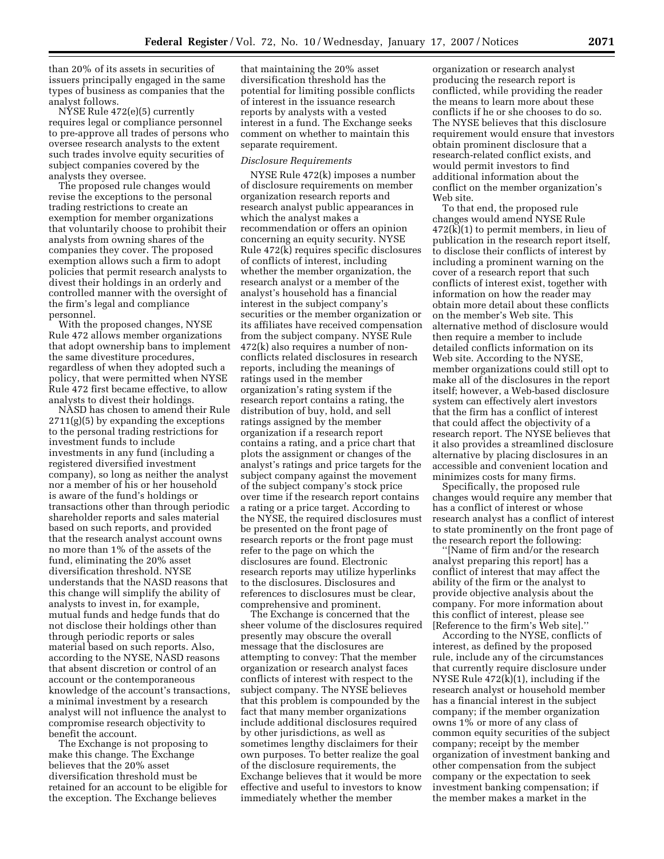than 20% of its assets in securities of issuers principally engaged in the same types of business as companies that the analyst follows.

NYSE Rule 472(e)(5) currently requires legal or compliance personnel to pre-approve all trades of persons who oversee research analysts to the extent such trades involve equity securities of subject companies covered by the analysts they oversee.

The proposed rule changes would revise the exceptions to the personal trading restrictions to create an exemption for member organizations that voluntarily choose to prohibit their analysts from owning shares of the companies they cover. The proposed exemption allows such a firm to adopt policies that permit research analysts to divest their holdings in an orderly and controlled manner with the oversight of the firm's legal and compliance personnel.

With the proposed changes, NYSE Rule 472 allows member organizations that adopt ownership bans to implement the same divestiture procedures, regardless of when they adopted such a policy, that were permitted when NYSE Rule 472 first became effective, to allow analysts to divest their holdings.

NASD has chosen to amend their Rule 2711(g)(5) by expanding the exceptions to the personal trading restrictions for investment funds to include investments in any fund (including a registered diversified investment company), so long as neither the analyst nor a member of his or her household is aware of the fund's holdings or transactions other than through periodic shareholder reports and sales material based on such reports, and provided that the research analyst account owns no more than 1% of the assets of the fund, eliminating the 20% asset diversification threshold. NYSE understands that the NASD reasons that this change will simplify the ability of analysts to invest in, for example, mutual funds and hedge funds that do not disclose their holdings other than through periodic reports or sales material based on such reports. Also, according to the NYSE, NASD reasons that absent discretion or control of an account or the contemporaneous knowledge of the account's transactions, a minimal investment by a research analyst will not influence the analyst to compromise research objectivity to benefit the account.

The Exchange is not proposing to make this change. The Exchange believes that the 20% asset diversification threshold must be retained for an account to be eligible for the exception. The Exchange believes

that maintaining the 20% asset diversification threshold has the potential for limiting possible conflicts of interest in the issuance research reports by analysts with a vested interest in a fund. The Exchange seeks comment on whether to maintain this separate requirement.

#### *Disclosure Requirements*

NYSE Rule 472(k) imposes a number of disclosure requirements on member organization research reports and research analyst public appearances in which the analyst makes a recommendation or offers an opinion concerning an equity security. NYSE Rule 472(k) requires specific disclosures of conflicts of interest, including whether the member organization, the research analyst or a member of the analyst's household has a financial interest in the subject company's securities or the member organization or its affiliates have received compensation from the subject company. NYSE Rule 472(k) also requires a number of nonconflicts related disclosures in research reports, including the meanings of ratings used in the member organization's rating system if the research report contains a rating, the distribution of buy, hold, and sell ratings assigned by the member organization if a research report contains a rating, and a price chart that plots the assignment or changes of the analyst's ratings and price targets for the subject company against the movement of the subject company's stock price over time if the research report contains a rating or a price target. According to the NYSE, the required disclosures must be presented on the front page of research reports or the front page must refer to the page on which the disclosures are found. Electronic research reports may utilize hyperlinks to the disclosures. Disclosures and references to disclosures must be clear, comprehensive and prominent.

The Exchange is concerned that the sheer volume of the disclosures required presently may obscure the overall message that the disclosures are attempting to convey: That the member organization or research analyst faces conflicts of interest with respect to the subject company. The NYSE believes that this problem is compounded by the fact that many member organizations include additional disclosures required by other jurisdictions, as well as sometimes lengthy disclaimers for their own purposes. To better realize the goal of the disclosure requirements, the Exchange believes that it would be more effective and useful to investors to know immediately whether the member

organization or research analyst producing the research report is conflicted, while providing the reader the means to learn more about these conflicts if he or she chooses to do so. The NYSE believes that this disclosure requirement would ensure that investors obtain prominent disclosure that a research-related conflict exists, and would permit investors to find additional information about the conflict on the member organization's Web site.

To that end, the proposed rule changes would amend NYSE Rule 472(k)(1) to permit members, in lieu of publication in the research report itself, to disclose their conflicts of interest by including a prominent warning on the cover of a research report that such conflicts of interest exist, together with information on how the reader may obtain more detail about these conflicts on the member's Web site. This alternative method of disclosure would then require a member to include detailed conflicts information on its Web site. According to the NYSE, member organizations could still opt to make all of the disclosures in the report itself; however, a Web-based disclosure system can effectively alert investors that the firm has a conflict of interest that could affect the objectivity of a research report. The NYSE believes that it also provides a streamlined disclosure alternative by placing disclosures in an accessible and convenient location and minimizes costs for many firms.

Specifically, the proposed rule changes would require any member that has a conflict of interest or whose research analyst has a conflict of interest to state prominently on the front page of the research report the following:

''[Name of firm and/or the research analyst preparing this report] has a conflict of interest that may affect the ability of the firm or the analyst to provide objective analysis about the company. For more information about this conflict of interest, please see [Reference to the firm's Web site].''

According to the NYSE, conflicts of interest, as defined by the proposed rule, include any of the circumstances that currently require disclosure under NYSE Rule  $472(k)(1)$ , including if the research analyst or household member has a financial interest in the subject company; if the member organization owns 1% or more of any class of common equity securities of the subject company; receipt by the member organization of investment banking and other compensation from the subject company or the expectation to seek investment banking compensation; if the member makes a market in the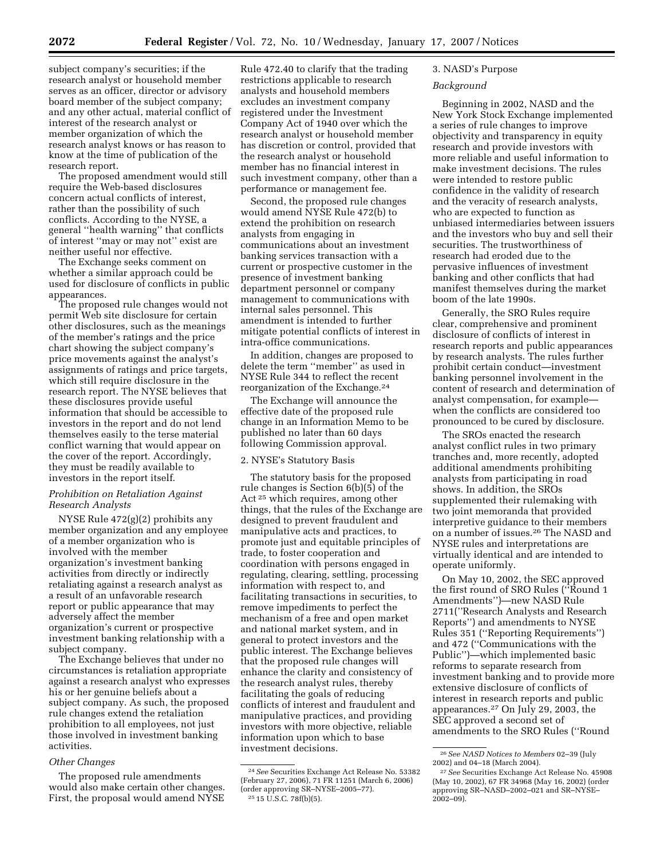subject company's securities; if the research analyst or household member serves as an officer, director or advisory board member of the subject company; and any other actual, material conflict of interest of the research analyst or member organization of which the research analyst knows or has reason to know at the time of publication of the research report.

The proposed amendment would still require the Web-based disclosures concern actual conflicts of interest, rather than the possibility of such conflicts. According to the NYSE, a general ''health warning'' that conflicts of interest ''may or may not'' exist are neither useful nor effective.

The Exchange seeks comment on whether a similar approach could be used for disclosure of conflicts in public appearances.

The proposed rule changes would not permit Web site disclosure for certain other disclosures, such as the meanings of the member's ratings and the price chart showing the subject company's price movements against the analyst's assignments of ratings and price targets, which still require disclosure in the research report. The NYSE believes that these disclosures provide useful information that should be accessible to investors in the report and do not lend themselves easily to the terse material conflict warning that would appear on the cover of the report. Accordingly, they must be readily available to investors in the report itself.

# *Prohibition on Retaliation Against Research Analysts*

NYSE Rule 472(g)(2) prohibits any member organization and any employee of a member organization who is involved with the member organization's investment banking activities from directly or indirectly retaliating against a research analyst as a result of an unfavorable research report or public appearance that may adversely affect the member organization's current or prospective investment banking relationship with a subject company.

The Exchange believes that under no circumstances is retaliation appropriate against a research analyst who expresses his or her genuine beliefs about a subject company. As such, the proposed rule changes extend the retaliation prohibition to all employees, not just those involved in investment banking activities.

#### *Other Changes*

The proposed rule amendments would also make certain other changes. First, the proposal would amend NYSE

Rule 472.40 to clarify that the trading restrictions applicable to research analysts and household members excludes an investment company registered under the Investment Company Act of 1940 over which the research analyst or household member has discretion or control, provided that the research analyst or household member has no financial interest in such investment company, other than a performance or management fee.

Second, the proposed rule changes would amend NYSE Rule 472(b) to extend the prohibition on research analysts from engaging in communications about an investment banking services transaction with a current or prospective customer in the presence of investment banking department personnel or company management to communications with internal sales personnel. This amendment is intended to further mitigate potential conflicts of interest in intra-office communications.

In addition, changes are proposed to delete the term ''member'' as used in NYSE Rule 344 to reflect the recent reorganization of the Exchange.24

The Exchange will announce the effective date of the proposed rule change in an Information Memo to be published no later than 60 days following Commission approval.

### 2. NYSE's Statutory Basis

The statutory basis for the proposed rule changes is Section 6(b)(5) of the Act 25 which requires, among other things, that the rules of the Exchange are designed to prevent fraudulent and manipulative acts and practices, to promote just and equitable principles of trade, to foster cooperation and coordination with persons engaged in regulating, clearing, settling, processing information with respect to, and facilitating transactions in securities, to remove impediments to perfect the mechanism of a free and open market and national market system, and in general to protect investors and the public interest. The Exchange believes that the proposed rule changes will enhance the clarity and consistency of the research analyst rules, thereby facilitating the goals of reducing conflicts of interest and fraudulent and manipulative practices, and providing investors with more objective, reliable information upon which to base investment decisions.

# 3. NASD's Purpose

# *Background*

Beginning in 2002, NASD and the New York Stock Exchange implemented a series of rule changes to improve objectivity and transparency in equity research and provide investors with more reliable and useful information to make investment decisions. The rules were intended to restore public confidence in the validity of research and the veracity of research analysts, who are expected to function as unbiased intermediaries between issuers and the investors who buy and sell their securities. The trustworthiness of research had eroded due to the pervasive influences of investment banking and other conflicts that had manifest themselves during the market boom of the late 1990s.

Generally, the SRO Rules require clear, comprehensive and prominent disclosure of conflicts of interest in research reports and public appearances by research analysts. The rules further prohibit certain conduct—investment banking personnel involvement in the content of research and determination of analyst compensation, for example when the conflicts are considered too pronounced to be cured by disclosure.

The SROs enacted the research analyst conflict rules in two primary tranches and, more recently, adopted additional amendments prohibiting analysts from participating in road shows. In addition, the SROs supplemented their rulemaking with two joint memoranda that provided interpretive guidance to their members on a number of issues.26 The NASD and NYSE rules and interpretations are virtually identical and are intended to operate uniformly.

On May 10, 2002, the SEC approved the first round of SRO Rules (''Round 1 Amendments'')—new NASD Rule 2711(''Research Analysts and Research Reports'') and amendments to NYSE Rules 351 (''Reporting Requirements'') and 472 (''Communications with the Public'')—which implemented basic reforms to separate research from investment banking and to provide more extensive disclosure of conflicts of interest in research reports and public appearances.27 On July 29, 2003, the SEC approved a second set of amendments to the SRO Rules (''Round

<sup>24</sup>*See* Securities Exchange Act Release No. 53382 (February 27, 2006), 71 FR 11251 (March 6, 2006) (order approving SR–NYSE–2005–77). 25 15 U.S.C. 78f(b)(5).

<sup>26</sup>*See NASD Notices to Members* 02–39 (July 2002) and 04–18 (March 2004).

<sup>27</sup>*See* Securities Exchange Act Release No. 45908 (May 10, 2002), 67 FR 34968 (May 16, 2002) (order approving SR–NASD–2002–021 and SR–NYSE–  $2002 - 09$ ).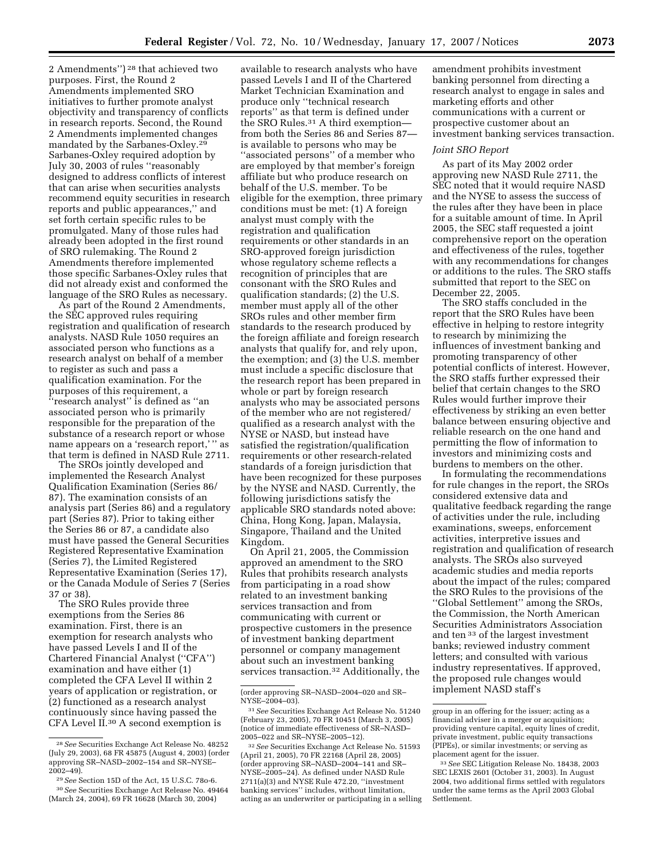2 Amendments'') 28 that achieved two purposes. First, the Round 2 Amendments implemented SRO initiatives to further promote analyst objectivity and transparency of conflicts in research reports. Second, the Round 2 Amendments implemented changes mandated by the Sarbanes-Oxley.29 Sarbanes-Oxley required adoption by July 30, 2003 of rules ''reasonably designed to address conflicts of interest that can arise when securities analysts recommend equity securities in research reports and public appearances,'' and set forth certain specific rules to be promulgated. Many of those rules had already been adopted in the first round of SRO rulemaking. The Round 2 Amendments therefore implemented those specific Sarbanes-Oxley rules that did not already exist and conformed the language of the SRO Rules as necessary.

As part of the Round 2 Amendments, the SEC approved rules requiring registration and qualification of research analysts. NASD Rule 1050 requires an associated person who functions as a research analyst on behalf of a member to register as such and pass a qualification examination. For the purposes of this requirement, a ''research analyst'' is defined as ''an associated person who is primarily responsible for the preparation of the substance of a research report or whose name appears on a 'research report,' '' as that term is defined in NASD Rule 2711.

The SROs jointly developed and implemented the Research Analyst Qualification Examination (Series 86/ 87). The examination consists of an analysis part (Series 86) and a regulatory part (Series 87). Prior to taking either the Series 86 or 87, a candidate also must have passed the General Securities Registered Representative Examination (Series 7), the Limited Registered Representative Examination (Series 17), or the Canada Module of Series 7 (Series 37 or 38).

The SRO Rules provide three exemptions from the Series 86 examination. First, there is an exemption for research analysts who have passed Levels I and II of the Chartered Financial Analyst (''CFA'') examination and have either (1) completed the CFA Level II within 2 years of application or registration, or (2) functioned as a research analyst continuously since having passed the CFA Level II.30 A second exemption is

available to research analysts who have passed Levels I and II of the Chartered Market Technician Examination and produce only ''technical research reports'' as that term is defined under the SRO Rules.<sup>31</sup> A third exemptionfrom both the Series 86 and Series 87 is available to persons who may be ''associated persons'' of a member who are employed by that member's foreign affiliate but who produce research on behalf of the U.S. member. To be eligible for the exemption, three primary conditions must be met: (1) A foreign analyst must comply with the registration and qualification requirements or other standards in an SRO-approved foreign jurisdiction whose regulatory scheme reflects a recognition of principles that are consonant with the SRO Rules and qualification standards; (2) the U.S. member must apply all of the other SROs rules and other member firm standards to the research produced by the foreign affiliate and foreign research analysts that qualify for, and rely upon, the exemption; and (3) the U.S. member must include a specific disclosure that the research report has been prepared in whole or part by foreign research analysts who may be associated persons of the member who are not registered/ qualified as a research analyst with the NYSE or NASD, but instead have satisfied the registration/qualification requirements or other research-related standards of a foreign jurisdiction that have been recognized for these purposes by the NYSE and NASD. Currently, the following jurisdictions satisfy the applicable SRO standards noted above: China, Hong Kong, Japan, Malaysia, Singapore, Thailand and the United Kingdom.

On April 21, 2005, the Commission approved an amendment to the SRO Rules that prohibits research analysts from participating in a road show related to an investment banking services transaction and from communicating with current or prospective customers in the presence of investment banking department personnel or company management about such an investment banking services transaction.32 Additionally, the

32*See* Securities Exchange Act Release No. 51593 (April 21, 2005), 70 FR 22168 (April 28, 2005) (order approving SR–NASD–2004–141 and SR– NYSE–2005–24). As defined under NASD Rule 2711(a)(3) and NYSE Rule 472.20, ''investment banking services'' includes, without limitation, acting as an underwriter or participating in a selling amendment prohibits investment banking personnel from directing a research analyst to engage in sales and marketing efforts and other communications with a current or prospective customer about an investment banking services transaction.

### *Joint SRO Report*

As part of its May 2002 order approving new NASD Rule 2711, the SEC noted that it would require NASD and the NYSE to assess the success of the rules after they have been in place for a suitable amount of time. In April 2005, the SEC staff requested a joint comprehensive report on the operation and effectiveness of the rules, together with any recommendations for changes or additions to the rules. The SRO staffs submitted that report to the SEC on December 22, 2005.

The SRO staffs concluded in the report that the SRO Rules have been effective in helping to restore integrity to research by minimizing the influences of investment banking and promoting transparency of other potential conflicts of interest. However, the SRO staffs further expressed their belief that certain changes to the SRO Rules would further improve their effectiveness by striking an even better balance between ensuring objective and reliable research on the one hand and permitting the flow of information to investors and minimizing costs and burdens to members on the other.

In formulating the recommendations for rule changes in the report, the SROs considered extensive data and qualitative feedback regarding the range of activities under the rule, including examinations, sweeps, enforcement activities, interpretive issues and registration and qualification of research analysts. The SROs also surveyed academic studies and media reports about the impact of the rules; compared the SRO Rules to the provisions of the ''Global Settlement'' among the SROs, the Commission, the North American Securities Administrators Association and ten 33 of the largest investment banks; reviewed industry comment letters; and consulted with various industry representatives. If approved, the proposed rule changes would implement NASD staff's

<sup>28</sup>*See* Securities Exchange Act Release No. 48252 (July 29, 2003), 68 FR 45875 (August 4, 2003) (order approving SR–NASD–2002–154 and SR–NYSE– 2002–49).

<sup>29</sup>*See* Section 15D of the Act, 15 U.S.C. 78o-6. 30*See* Securities Exchange Act Release No. 49464 (March 24, 2004), 69 FR 16628 (March 30, 2004)

<sup>(</sup>order approving SR–NASD–2004–020 and SR– NYSE–2004–03).

<sup>31</sup>*See* Securities Exchange Act Release No. 51240 (February 23, 2005), 70 FR 10451 (March 3, 2005) (notice of immediate effectiveness of SR–NASD– 2005–022 and SR–NYSE–2005–12).

group in an offering for the issuer; acting as a financial adviser in a merger or acquisition; providing venture capital, equity lines of credit, private investment, public equity transactions (PIPEs), or similar investments; or serving as placement agent for the issuer.

<sup>33</sup>*See* SEC Litigation Release No. 18438, 2003 SEC LEXIS 2601 (October 31, 2003). In August 2004, two additional firms settled with regulators under the same terms as the April 2003 Global Settlement.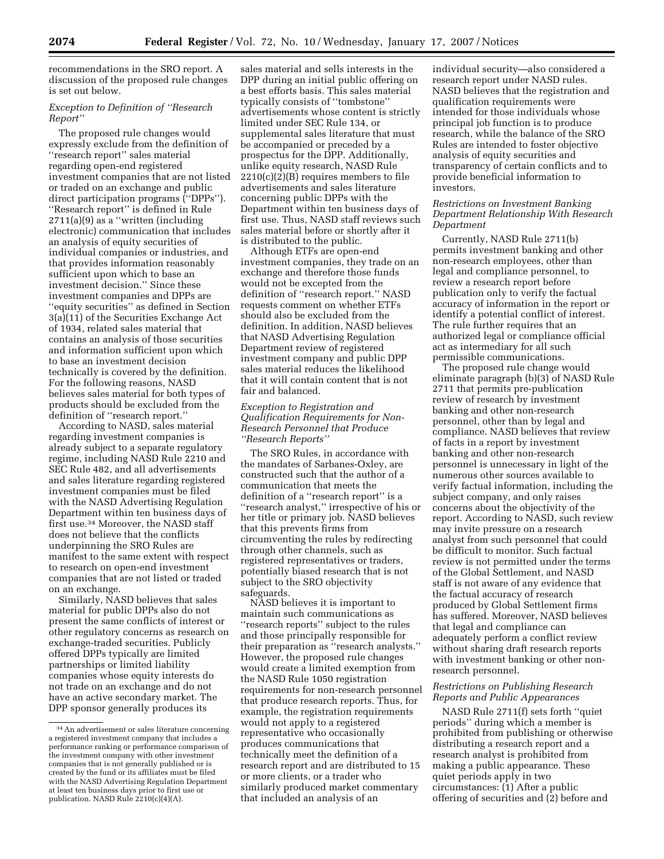recommendations in the SRO report. A discussion of the proposed rule changes is set out below.

# *Exception to Definition of ''Research Report''*

The proposed rule changes would expressly exclude from the definition of ''research report'' sales material regarding open-end registered investment companies that are not listed or traded on an exchange and public direct participation programs (''DPPs''). ''Research report'' is defined in Rule 2711(a)(9) as a ''written (including electronic) communication that includes an analysis of equity securities of individual companies or industries, and that provides information reasonably sufficient upon which to base an investment decision.'' Since these investment companies and DPPs are ''equity securities'' as defined in Section 3(a)(11) of the Securities Exchange Act of 1934, related sales material that contains an analysis of those securities and information sufficient upon which to base an investment decision technically is covered by the definition. For the following reasons, NASD believes sales material for both types of products should be excluded from the definition of ''research report.''

According to NASD, sales material regarding investment companies is already subject to a separate regulatory regime, including NASD Rule 2210 and SEC Rule 482, and all advertisements and sales literature regarding registered investment companies must be filed with the NASD Advertising Regulation Department within ten business days of first use.34 Moreover, the NASD staff does not believe that the conflicts underpinning the SRO Rules are manifest to the same extent with respect to research on open-end investment companies that are not listed or traded on an exchange.

Similarly, NASD believes that sales material for public DPPs also do not present the same conflicts of interest or other regulatory concerns as research on exchange-traded securities. Publicly offered DPPs typically are limited partnerships or limited liability companies whose equity interests do not trade on an exchange and do not have an active secondary market. The DPP sponsor generally produces its

sales material and sells interests in the DPP during an initial public offering on a best efforts basis. This sales material typically consists of ''tombstone'' advertisements whose content is strictly limited under SEC Rule 134, or supplemental sales literature that must be accompanied or preceded by a prospectus for the DPP. Additionally, unlike equity research, NASD Rule  $2210(c)(2)(B)$  requires members to file advertisements and sales literature concerning public DPPs with the Department within ten business days of first use. Thus, NASD staff reviews such sales material before or shortly after it is distributed to the public.

Although ETFs are open-end investment companies, they trade on an exchange and therefore those funds would not be excepted from the definition of ''research report.'' NASD requests comment on whether ETFs should also be excluded from the definition. In addition, NASD believes that NASD Advertising Regulation Department review of registered investment company and public DPP sales material reduces the likelihood that it will contain content that is not fair and balanced.

# *Exception to Registration and Qualification Requirements for Non-Research Personnel that Produce ''Research Reports''*

The SRO Rules, in accordance with the mandates of Sarbanes-Oxley, are constructed such that the author of a communication that meets the definition of a ''research report'' is a ''research analyst,'' irrespective of his or her title or primary job. NASD believes that this prevents firms from circumventing the rules by redirecting through other channels, such as registered representatives or traders, potentially biased research that is not subject to the SRO objectivity safeguards.

NASD believes it is important to maintain such communications as ''research reports'' subject to the rules and those principally responsible for their preparation as ''research analysts.'' However, the proposed rule changes would create a limited exemption from the NASD Rule 1050 registration requirements for non-research personnel that produce research reports. Thus, for example, the registration requirements would not apply to a registered representative who occasionally produces communications that technically meet the definition of a research report and are distributed to 15 or more clients, or a trader who similarly produced market commentary that included an analysis of an

individual security—also considered a research report under NASD rules. NASD believes that the registration and qualification requirements were intended for those individuals whose principal job function is to produce research, while the balance of the SRO Rules are intended to foster objective analysis of equity securities and transparency of certain conflicts and to provide beneficial information to investors.

# *Restrictions on Investment Banking Department Relationship With Research Department*

Currently, NASD Rule 2711(b) permits investment banking and other non-research employees, other than legal and compliance personnel, to review a research report before publication only to verify the factual accuracy of information in the report or identify a potential conflict of interest. The rule further requires that an authorized legal or compliance official act as intermediary for all such permissible communications.

The proposed rule change would eliminate paragraph (b)(3) of NASD Rule 2711 that permits pre-publication review of research by investment banking and other non-research personnel, other than by legal and compliance. NASD believes that review of facts in a report by investment banking and other non-research personnel is unnecessary in light of the numerous other sources available to verify factual information, including the subject company, and only raises concerns about the objectivity of the report. According to NASD, such review may invite pressure on a research analyst from such personnel that could be difficult to monitor. Such factual review is not permitted under the terms of the Global Settlement, and NASD staff is not aware of any evidence that the factual accuracy of research produced by Global Settlement firms has suffered. Moreover, NASD believes that legal and compliance can adequately perform a conflict review without sharing draft research reports with investment banking or other nonresearch personnel.

# *Restrictions on Publishing Research Reports and Public Appearances*

NASD Rule 2711(f) sets forth ''quiet periods'' during which a member is prohibited from publishing or otherwise distributing a research report and a research analyst is prohibited from making a public appearance. These quiet periods apply in two circumstances: (1) After a public offering of securities and (2) before and

<sup>34</sup>An advertisement or sales literature concerning a registered investment company that includes a performance ranking or performance comparison of the investment company with other investment companies that is not generally published or is created by the fund or its affiliates must be filed with the NASD Advertising Regulation Department at least ten business days prior to first use or publication. NASD Rule 2210(c)(4)(A).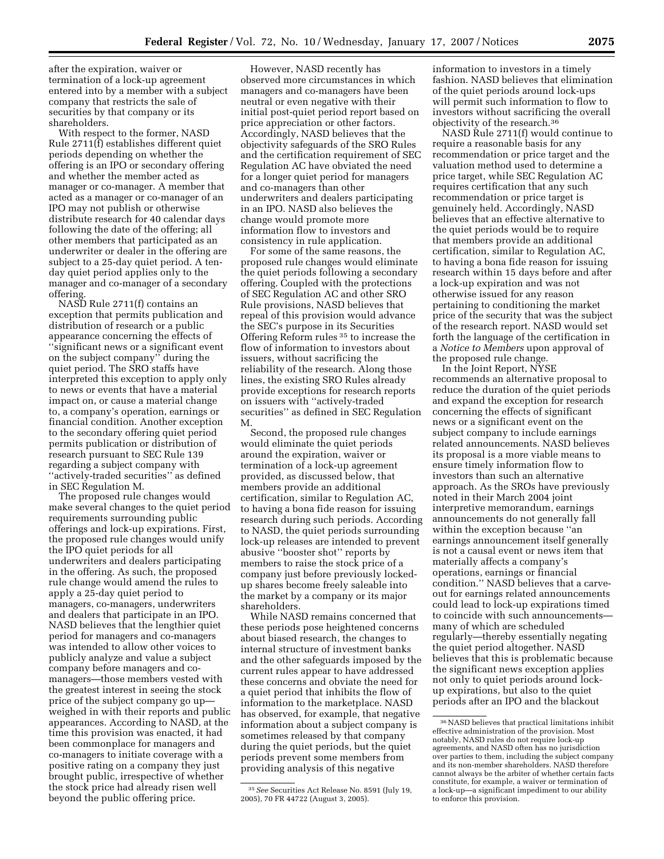after the expiration, waiver or termination of a lock-up agreement entered into by a member with a subject company that restricts the sale of securities by that company or its shareholders.

With respect to the former, NASD Rule 2711(f) establishes different quiet periods depending on whether the offering is an IPO or secondary offering and whether the member acted as manager or co-manager. A member that acted as a manager or co-manager of an IPO may not publish or otherwise distribute research for 40 calendar days following the date of the offering; all other members that participated as an underwriter or dealer in the offering are subject to a 25-day quiet period. A tenday quiet period applies only to the manager and co-manager of a secondary offering.

NASD Rule 2711(f) contains an exception that permits publication and distribution of research or a public appearance concerning the effects of ''significant news or a significant event on the subject company'' during the quiet period. The SRO staffs have interpreted this exception to apply only to news or events that have a material impact on, or cause a material change to, a company's operation, earnings or financial condition. Another exception to the secondary offering quiet period permits publication or distribution of research pursuant to SEC Rule 139 regarding a subject company with ''actively-traded securities'' as defined in SEC Regulation M.

The proposed rule changes would make several changes to the quiet period requirements surrounding public offerings and lock-up expirations. First, the proposed rule changes would unify the IPO quiet periods for all underwriters and dealers participating in the offering. As such, the proposed rule change would amend the rules to apply a 25-day quiet period to managers, co-managers, underwriters and dealers that participate in an IPO. NASD believes that the lengthier quiet period for managers and co-managers was intended to allow other voices to publicly analyze and value a subject company before managers and comanagers—those members vested with the greatest interest in seeing the stock price of the subject company go up weighed in with their reports and public appearances. According to NASD, at the time this provision was enacted, it had been commonplace for managers and co-managers to initiate coverage with a positive rating on a company they just brought public, irrespective of whether the stock price had already risen well beyond the public offering price.

However, NASD recently has observed more circumstances in which managers and co-managers have been neutral or even negative with their initial post-quiet period report based on price appreciation or other factors. Accordingly, NASD believes that the objectivity safeguards of the SRO Rules and the certification requirement of SEC Regulation AC have obviated the need for a longer quiet period for managers and co-managers than other underwriters and dealers participating in an IPO. NASD also believes the change would promote more information flow to investors and consistency in rule application.

For some of the same reasons, the proposed rule changes would eliminate the quiet periods following a secondary offering. Coupled with the protections of SEC Regulation AC and other SRO Rule provisions, NASD believes that repeal of this provision would advance the SEC's purpose in its Securities Offering Reform rules 35 to increase the flow of information to investors about issuers, without sacrificing the reliability of the research. Along those lines, the existing SRO Rules already provide exceptions for research reports on issuers with ''actively-traded securities'' as defined in SEC Regulation M.

Second, the proposed rule changes would eliminate the quiet periods around the expiration, waiver or termination of a lock-up agreement provided, as discussed below, that members provide an additional certification, similar to Regulation AC, to having a bona fide reason for issuing research during such periods. According to NASD, the quiet periods surrounding lock-up releases are intended to prevent abusive ''booster shot'' reports by members to raise the stock price of a company just before previously lockedup shares become freely saleable into the market by a company or its major shareholders.

While NASD remains concerned that these periods pose heightened concerns about biased research, the changes to internal structure of investment banks and the other safeguards imposed by the current rules appear to have addressed these concerns and obviate the need for a quiet period that inhibits the flow of information to the marketplace. NASD has observed, for example, that negative information about a subject company is sometimes released by that company during the quiet periods, but the quiet periods prevent some members from providing analysis of this negative

35*See* Securities Act Release No. 8591 (July 19, 2005), 70 FR 44722 (August 3, 2005).

information to investors in a timely fashion. NASD believes that elimination of the quiet periods around lock-ups will permit such information to flow to investors without sacrificing the overall objectivity of the research.36

NASD Rule 2711(f) would continue to require a reasonable basis for any recommendation or price target and the valuation method used to determine a price target, while SEC Regulation AC requires certification that any such recommendation or price target is genuinely held. Accordingly, NASD believes that an effective alternative to the quiet periods would be to require that members provide an additional certification, similar to Regulation AC, to having a bona fide reason for issuing research within 15 days before and after a lock-up expiration and was not otherwise issued for any reason pertaining to conditioning the market price of the security that was the subject of the research report. NASD would set forth the language of the certification in a *Notice to Members* upon approval of the proposed rule change.

In the Joint Report, NYSE recommends an alternative proposal to reduce the duration of the quiet periods and expand the exception for research concerning the effects of significant news or a significant event on the subject company to include earnings related announcements. NASD believes its proposal is a more viable means to ensure timely information flow to investors than such an alternative approach. As the SROs have previously noted in their March 2004 joint interpretive memorandum, earnings announcements do not generally fall within the exception because ''an earnings announcement itself generally is not a causal event or news item that materially affects a company's operations, earnings or financial condition.'' NASD believes that a carveout for earnings related announcements could lead to lock-up expirations timed to coincide with such announcements many of which are scheduled regularly—thereby essentially negating the quiet period altogether. NASD believes that this is problematic because the significant news exception applies not only to quiet periods around lockup expirations, but also to the quiet periods after an IPO and the blackout

 $\rm ^{36}NASD$  believes that practical limitations inhibit effective administration of the provision. Most notably, NASD rules do not require lock-up agreements, and NASD often has no jurisdiction over parties to them, including the subject company and its non-member shareholders. NASD therefore cannot always be the arbiter of whether certain facts constitute, for example, a waiver or termination of a lock-up—a significant impediment to our ability to enforce this provision.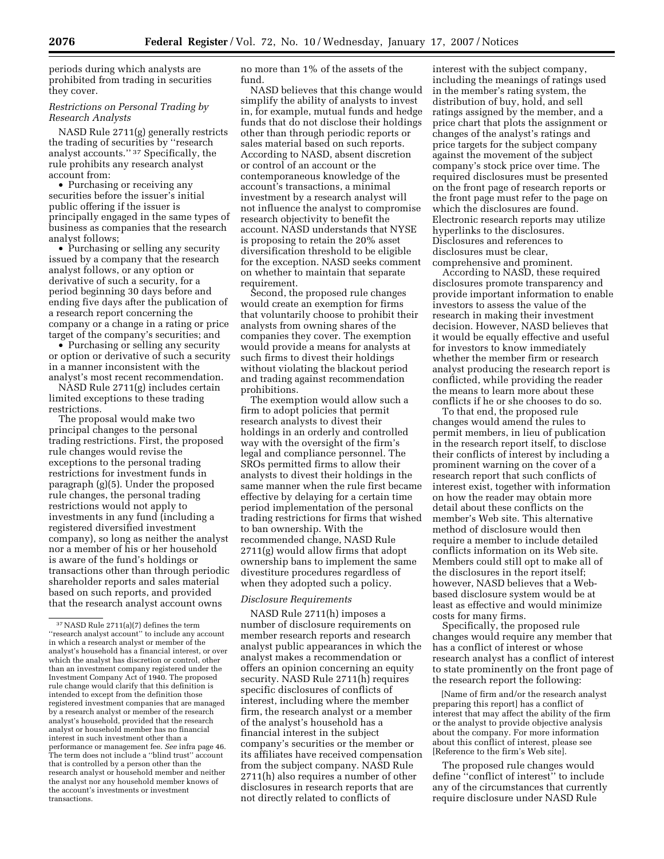periods during which analysts are prohibited from trading in securities they cover.

# *Restrictions on Personal Trading by Research Analysts*

NASD Rule 2711(g) generally restricts the trading of securities by ''research analyst accounts.'' 37 Specifically, the rule prohibits any research analyst account from:

• Purchasing or receiving any securities before the issuer's initial public offering if the issuer is principally engaged in the same types of business as companies that the research analyst follows;

• Purchasing or selling any security issued by a company that the research analyst follows, or any option or derivative of such a security, for a period beginning 30 days before and ending five days after the publication of a research report concerning the company or a change in a rating or price target of the company's securities; and

• Purchasing or selling any security or option or derivative of such a security in a manner inconsistent with the analyst's most recent recommendation.

NASD Rule 2711(g) includes certain limited exceptions to these trading restrictions.

The proposal would make two principal changes to the personal trading restrictions. First, the proposed rule changes would revise the exceptions to the personal trading restrictions for investment funds in paragraph (g)(5). Under the proposed rule changes, the personal trading restrictions would not apply to investments in any fund (including a registered diversified investment company), so long as neither the analyst nor a member of his or her household is aware of the fund's holdings or transactions other than through periodic shareholder reports and sales material based on such reports, and provided that the research analyst account owns

no more than 1% of the assets of the fund.

NASD believes that this change would simplify the ability of analysts to invest in, for example, mutual funds and hedge funds that do not disclose their holdings other than through periodic reports or sales material based on such reports. According to NASD, absent discretion or control of an account or the contemporaneous knowledge of the account's transactions, a minimal investment by a research analyst will not influence the analyst to compromise research objectivity to benefit the account. NASD understands that NYSE is proposing to retain the 20% asset diversification threshold to be eligible for the exception. NASD seeks comment on whether to maintain that separate requirement.

Second, the proposed rule changes would create an exemption for firms that voluntarily choose to prohibit their analysts from owning shares of the companies they cover. The exemption would provide a means for analysts at such firms to divest their holdings without violating the blackout period and trading against recommendation prohibitions.

The exemption would allow such a firm to adopt policies that permit research analysts to divest their holdings in an orderly and controlled way with the oversight of the firm's legal and compliance personnel. The SROs permitted firms to allow their analysts to divest their holdings in the same manner when the rule first became effective by delaying for a certain time period implementation of the personal trading restrictions for firms that wished to ban ownership. With the recommended change, NASD Rule 2711(g) would allow firms that adopt ownership bans to implement the same divestiture procedures regardless of when they adopted such a policy.

### *Disclosure Requirements*

NASD Rule 2711(h) imposes a number of disclosure requirements on member research reports and research analyst public appearances in which the analyst makes a recommendation or offers an opinion concerning an equity security. NASD Rule 2711(h) requires specific disclosures of conflicts of interest, including where the member firm, the research analyst or a member of the analyst's household has a financial interest in the subject company's securities or the member or its affiliates have received compensation from the subject company. NASD Rule 2711(h) also requires a number of other disclosures in research reports that are not directly related to conflicts of

interest with the subject company, including the meanings of ratings used in the member's rating system, the distribution of buy, hold, and sell ratings assigned by the member, and a price chart that plots the assignment or changes of the analyst's ratings and price targets for the subject company against the movement of the subject company's stock price over time. The required disclosures must be presented on the front page of research reports or the front page must refer to the page on which the disclosures are found. Electronic research reports may utilize hyperlinks to the disclosures. Disclosures and references to disclosures must be clear, comprehensive and prominent.

According to NASD, these required disclosures promote transparency and provide important information to enable investors to assess the value of the research in making their investment decision. However, NASD believes that it would be equally effective and useful for investors to know immediately whether the member firm or research analyst producing the research report is conflicted, while providing the reader the means to learn more about these conflicts if he or she chooses to do so.

To that end, the proposed rule changes would amend the rules to permit members, in lieu of publication in the research report itself, to disclose their conflicts of interest by including a prominent warning on the cover of a research report that such conflicts of interest exist, together with information on how the reader may obtain more detail about these conflicts on the member's Web site. This alternative method of disclosure would then require a member to include detailed conflicts information on its Web site. Members could still opt to make all of the disclosures in the report itself; however, NASD believes that a Webbased disclosure system would be at least as effective and would minimize costs for many firms.

Specifically, the proposed rule changes would require any member that has a conflict of interest or whose research analyst has a conflict of interest to state prominently on the front page of the research report the following:

[Name of firm and/or the research analyst preparing this report] has a conflict of interest that may affect the ability of the firm or the analyst to provide objective analysis about the company. For more information about this conflict of interest, please see [Reference to the firm's Web site].

The proposed rule changes would define ''conflict of interest'' to include any of the circumstances that currently require disclosure under NASD Rule

 $^{37}\rm{NASD}$  Rule 2711(a)(7) defines the term ''research analyst account'' to include any account in which a research analyst or member of the analyst's household has a financial interest, or over which the analyst has discretion or control, other than an investment company registered under the Investment Company Act of 1940. The proposed rule change would clarify that this definition is intended to except from the definition those registered investment companies that are managed by a research analyst or member of the research analyst's household, provided that the research analyst or household member has no financial interest in such investment other than a performance or management fee. *See* infra page 46. The term does not include a ''blind trust'' account that is controlled by a person other than the research analyst or household member and neither the analyst nor any household member knows of the account's investments or investment transactions.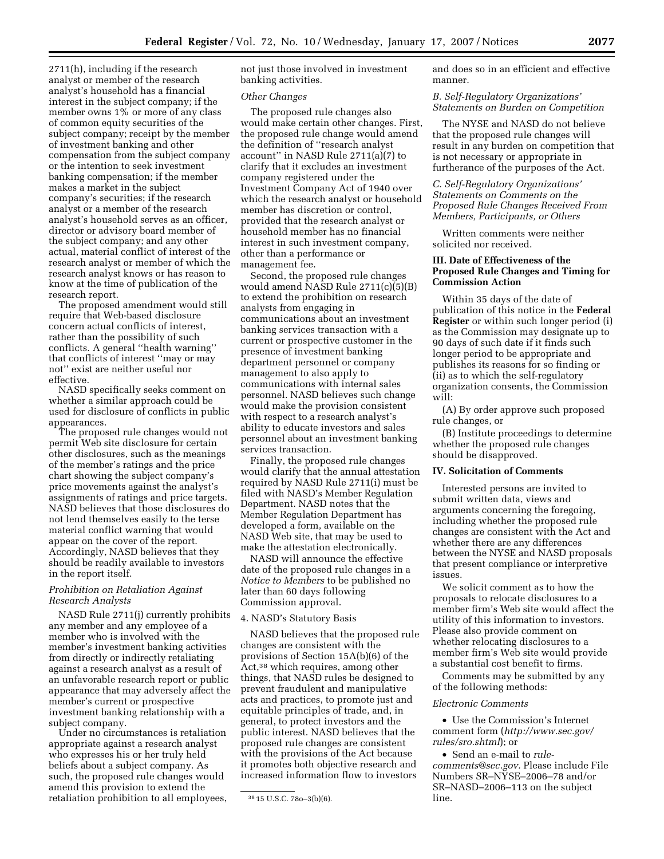2711(h), including if the research analyst or member of the research analyst's household has a financial interest in the subject company; if the member owns 1% or more of any class of common equity securities of the subject company; receipt by the member of investment banking and other compensation from the subject company or the intention to seek investment banking compensation; if the member makes a market in the subject company's securities; if the research analyst or a member of the research analyst's household serves as an officer, director or advisory board member of the subject company; and any other actual, material conflict of interest of the research analyst or member of which the research analyst knows or has reason to know at the time of publication of the research report.

The proposed amendment would still require that Web-based disclosure concern actual conflicts of interest, rather than the possibility of such conflicts. A general ''health warning'' that conflicts of interest ''may or may not'' exist are neither useful nor effective.

NASD specifically seeks comment on whether a similar approach could be used for disclosure of conflicts in public appearances.

The proposed rule changes would not permit Web site disclosure for certain other disclosures, such as the meanings of the member's ratings and the price chart showing the subject company's price movements against the analyst's assignments of ratings and price targets. NASD believes that those disclosures do not lend themselves easily to the terse material conflict warning that would appear on the cover of the report. Accordingly, NASD believes that they should be readily available to investors in the report itself.

# *Prohibition on Retaliation Against Research Analysts*

NASD Rule 2711(j) currently prohibits any member and any employee of a member who is involved with the member's investment banking activities from directly or indirectly retaliating against a research analyst as a result of an unfavorable research report or public appearance that may adversely affect the member's current or prospective investment banking relationship with a subject company.

Under no circumstances is retaliation appropriate against a research analyst who expresses his or her truly held beliefs about a subject company. As such, the proposed rule changes would amend this provision to extend the retaliation prohibition to all employees, not just those involved in investment banking activities.

### *Other Changes*

The proposed rule changes also would make certain other changes. First, the proposed rule change would amend the definition of ''research analyst account'' in NASD Rule 2711(a)(7) to clarify that it excludes an investment company registered under the Investment Company Act of 1940 over which the research analyst or household member has discretion or control, provided that the research analyst or household member has no financial interest in such investment company, other than a performance or management fee.

Second, the proposed rule changes would amend NASD Rule 2711(c)(5)(B) to extend the prohibition on research analysts from engaging in communications about an investment banking services transaction with a current or prospective customer in the presence of investment banking department personnel or company management to also apply to communications with internal sales personnel. NASD believes such change would make the provision consistent with respect to a research analyst's ability to educate investors and sales personnel about an investment banking services transaction.

Finally, the proposed rule changes would clarify that the annual attestation required by NASD Rule 2711(i) must be filed with NASD's Member Regulation Department. NASD notes that the Member Regulation Department has developed a form, available on the NASD Web site, that may be used to make the attestation electronically.

NASD will announce the effective date of the proposed rule changes in a *Notice to Members* to be published no later than 60 days following Commission approval.

#### 4. NASD's Statutory Basis

NASD believes that the proposed rule changes are consistent with the provisions of Section 15A(b)(6) of the Act,38 which requires, among other things, that NASD rules be designed to prevent fraudulent and manipulative acts and practices, to promote just and equitable principles of trade, and, in general, to protect investors and the public interest. NASD believes that the proposed rule changes are consistent with the provisions of the Act because it promotes both objective research and increased information flow to investors

and does so in an efficient and effective manner.

### *B. Self-Regulatory Organizations' Statements on Burden on Competition*

The NYSE and NASD do not believe that the proposed rule changes will result in any burden on competition that is not necessary or appropriate in furtherance of the purposes of the Act.

# *C. Self-Regulatory Organizations' Statements on Comments on the Proposed Rule Changes Received From Members, Participants, or Others*

Written comments were neither solicited nor received.

# **III. Date of Effectiveness of the Proposed Rule Changes and Timing for Commission Action**

Within 35 days of the date of publication of this notice in the **Federal Register** or within such longer period (i) as the Commission may designate up to 90 days of such date if it finds such longer period to be appropriate and publishes its reasons for so finding or (ii) as to which the self-regulatory organization consents, the Commission will:

(A) By order approve such proposed rule changes, or

(B) Institute proceedings to determine whether the proposed rule changes should be disapproved.

## **IV. Solicitation of Comments**

Interested persons are invited to submit written data, views and arguments concerning the foregoing, including whether the proposed rule changes are consistent with the Act and whether there are any differences between the NYSE and NASD proposals that present compliance or interpretive issues.

We solicit comment as to how the proposals to relocate disclosures to a member firm's Web site would affect the utility of this information to investors. Please also provide comment on whether relocating disclosures to a member firm's Web site would provide a substantial cost benefit to firms.

Comments may be submitted by any of the following methods:

#### *Electronic Comments*

• Use the Commission's Internet comment form (*http://www.sec.gov/ rules/sro.shtml*); or

• Send an e-mail to *rulecomments@sec.gov.* Please include File Numbers SR–NYSE–2006–78 and/or SR–NASD–2006–113 on the subject line.

<sup>38</sup> 15 U.S.C. 78o–3(b)(6).